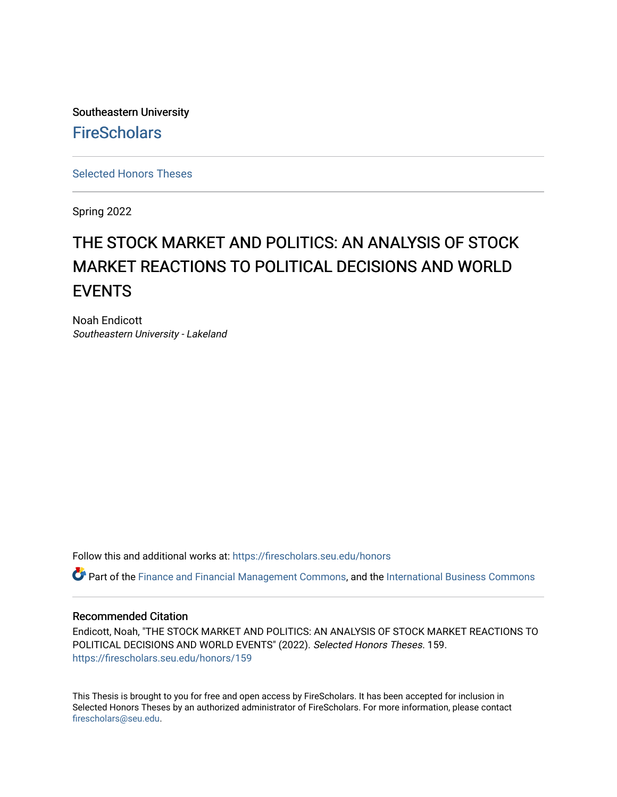Southeastern University **FireScholars** 

[Selected Honors Theses](https://firescholars.seu.edu/honors)

Spring 2022

# THE STOCK MARKET AND POLITICS: AN ANALYSIS OF STOCK MARKET REACTIONS TO POLITICAL DECISIONS AND WORLD **EVENTS**

Noah Endicott Southeastern University - Lakeland

Follow this and additional works at: [https://firescholars.seu.edu/honors](https://firescholars.seu.edu/honors?utm_source=firescholars.seu.edu%2Fhonors%2F159&utm_medium=PDF&utm_campaign=PDFCoverPages)

Part of the [Finance and Financial Management Commons,](https://network.bepress.com/hgg/discipline/631?utm_source=firescholars.seu.edu%2Fhonors%2F159&utm_medium=PDF&utm_campaign=PDFCoverPages) and the [International Business Commons](https://network.bepress.com/hgg/discipline/634?utm_source=firescholars.seu.edu%2Fhonors%2F159&utm_medium=PDF&utm_campaign=PDFCoverPages)

### Recommended Citation

Endicott, Noah, "THE STOCK MARKET AND POLITICS: AN ANALYSIS OF STOCK MARKET REACTIONS TO POLITICAL DECISIONS AND WORLD EVENTS" (2022). Selected Honors Theses. 159. [https://firescholars.seu.edu/honors/159](https://firescholars.seu.edu/honors/159?utm_source=firescholars.seu.edu%2Fhonors%2F159&utm_medium=PDF&utm_campaign=PDFCoverPages)

This Thesis is brought to you for free and open access by FireScholars. It has been accepted for inclusion in Selected Honors Theses by an authorized administrator of FireScholars. For more information, please contact [firescholars@seu.edu.](mailto:firescholars@seu.edu)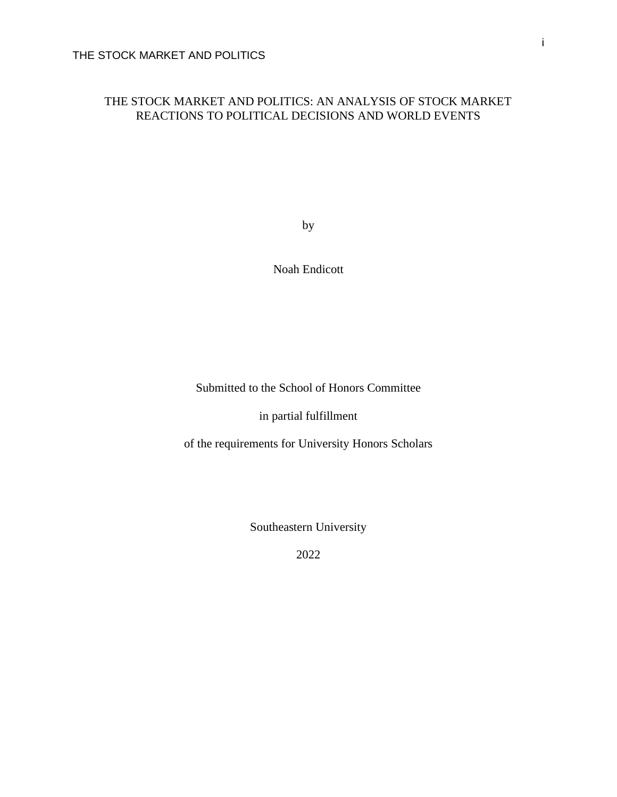# THE STOCK MARKET AND POLITICS: AN ANALYSIS OF STOCK MARKET REACTIONS TO POLITICAL DECISIONS AND WORLD EVENTS

by

Noah Endicott

Submitted to the School of Honors Committee

in partial fulfillment

of the requirements for University Honors Scholars

Southeastern University

2022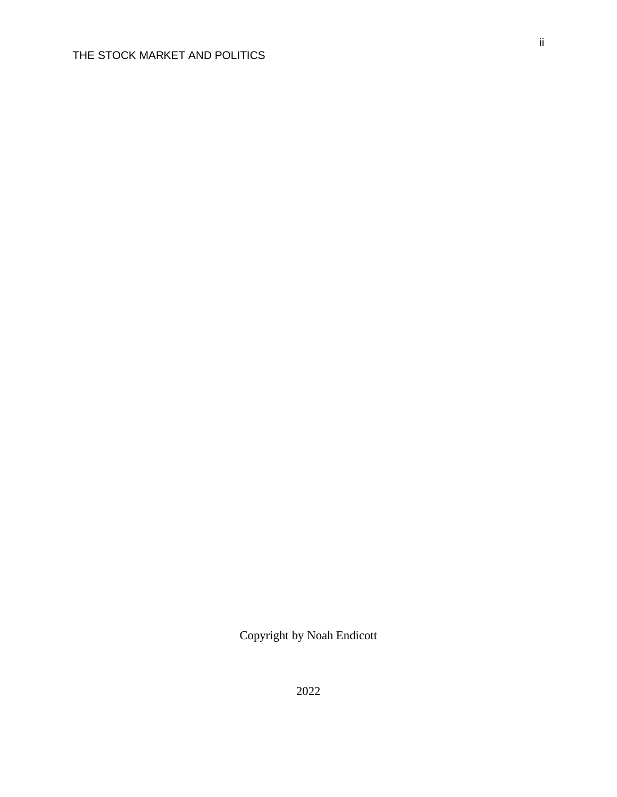Copyright by Noah Endicott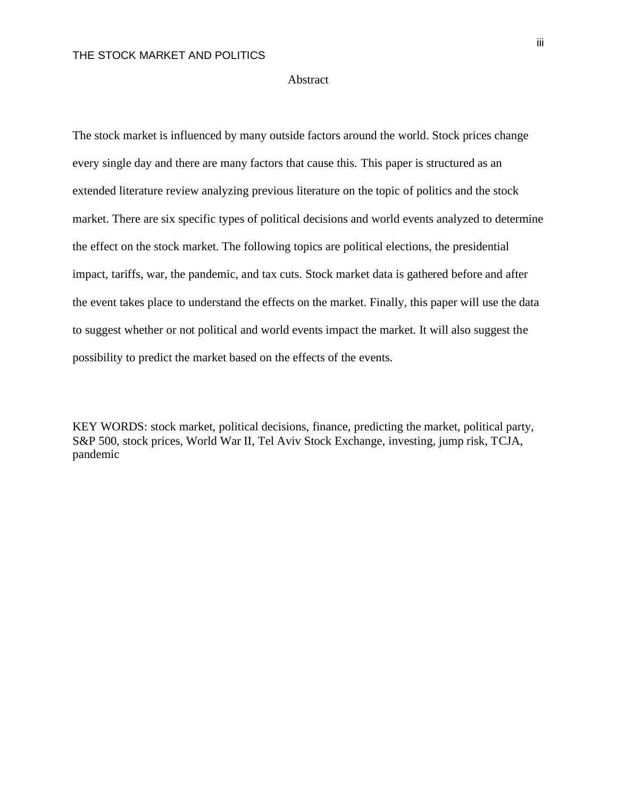#### Abstract

The stock market is influenced by many outside factors around the world. Stock prices change every single day and there are many factors that cause this. This paper is structured as an extended literature review analyzing previous literature on the topic of politics and the stock market. There are six specific types of political decisions and world events analyzed to determine the effect on the stock market. The following topics are political elections, the presidential impact, tariffs, war, the pandemic, and tax cuts. Stock market data is gathered before and after the event takes place to understand the effects on the market. Finally, this paper will use the data to suggest whether or not political and world events impact the market. It will also suggest the possibility to predict the market based on the effects of the events.

KEY WORDS: stock market, political decisions, finance, predicting the market, political party, S&P 500, stock prices, World War II, Tel Aviv Stock Exchange, investing, jump risk, TCJA, pandemic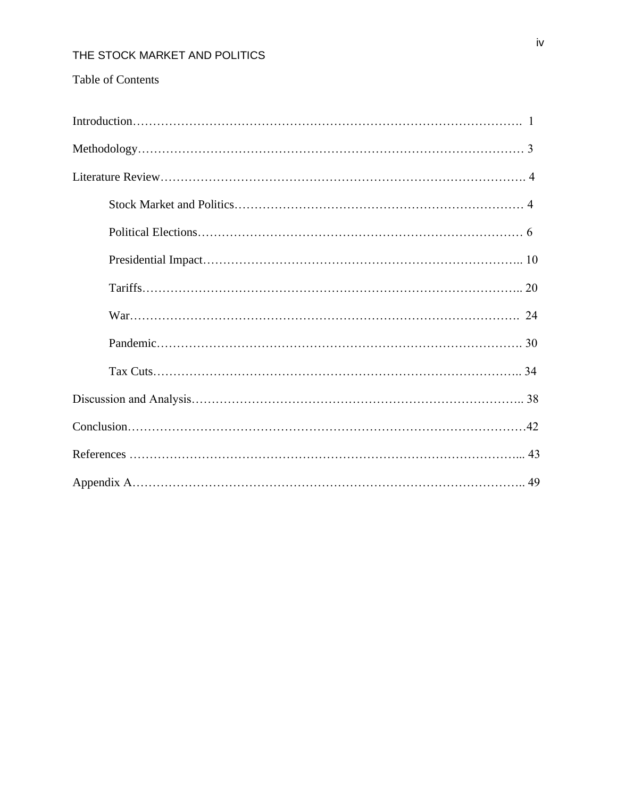# Table of Contents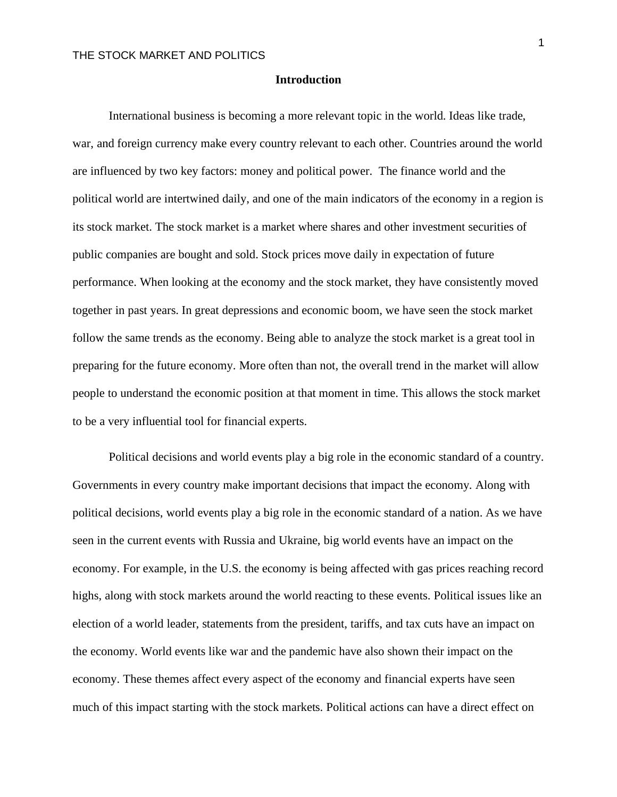#### **Introduction**

International business is becoming a more relevant topic in the world. Ideas like trade, war, and foreign currency make every country relevant to each other. Countries around the world are influenced by two key factors: money and political power. The finance world and the political world are intertwined daily, and one of the main indicators of the economy in a region is its stock market. The stock market is a market where shares and other investment securities of public companies are bought and sold. Stock prices move daily in expectation of future performance. When looking at the economy and the stock market, they have consistently moved together in past years. In great depressions and economic boom, we have seen the stock market follow the same trends as the economy. Being able to analyze the stock market is a great tool in preparing for the future economy. More often than not, the overall trend in the market will allow people to understand the economic position at that moment in time. This allows the stock market to be a very influential tool for financial experts.

Political decisions and world events play a big role in the economic standard of a country. Governments in every country make important decisions that impact the economy. Along with political decisions, world events play a big role in the economic standard of a nation. As we have seen in the current events with Russia and Ukraine, big world events have an impact on the economy. For example, in the U.S. the economy is being affected with gas prices reaching record highs, along with stock markets around the world reacting to these events. Political issues like an election of a world leader, statements from the president, tariffs, and tax cuts have an impact on the economy. World events like war and the pandemic have also shown their impact on the economy. These themes affect every aspect of the economy and financial experts have seen much of this impact starting with the stock markets. Political actions can have a direct effect on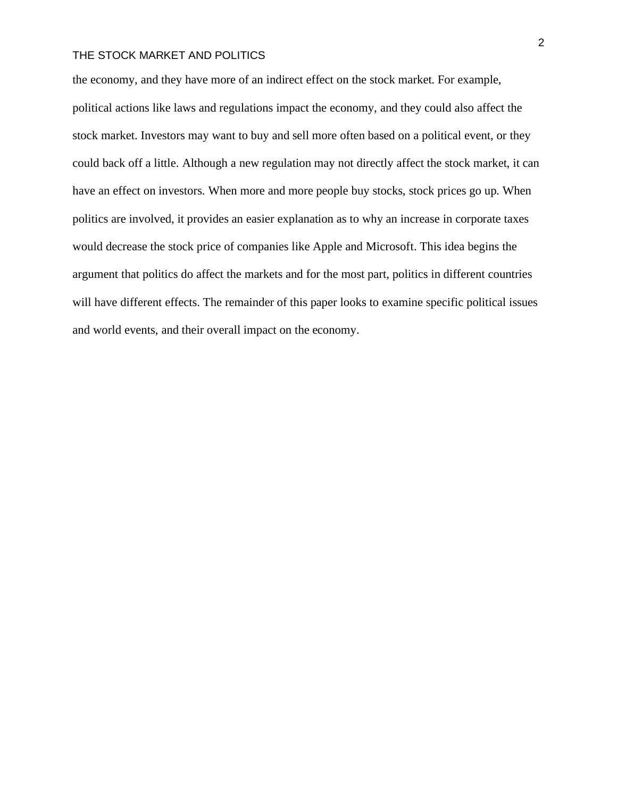the economy, and they have more of an indirect effect on the stock market. For example, political actions like laws and regulations impact the economy, and they could also affect the stock market. Investors may want to buy and sell more often based on a political event, or they could back off a little. Although a new regulation may not directly affect the stock market, it can have an effect on investors. When more and more people buy stocks, stock prices go up. When politics are involved, it provides an easier explanation as to why an increase in corporate taxes would decrease the stock price of companies like Apple and Microsoft. This idea begins the argument that politics do affect the markets and for the most part, politics in different countries will have different effects. The remainder of this paper looks to examine specific political issues and world events, and their overall impact on the economy.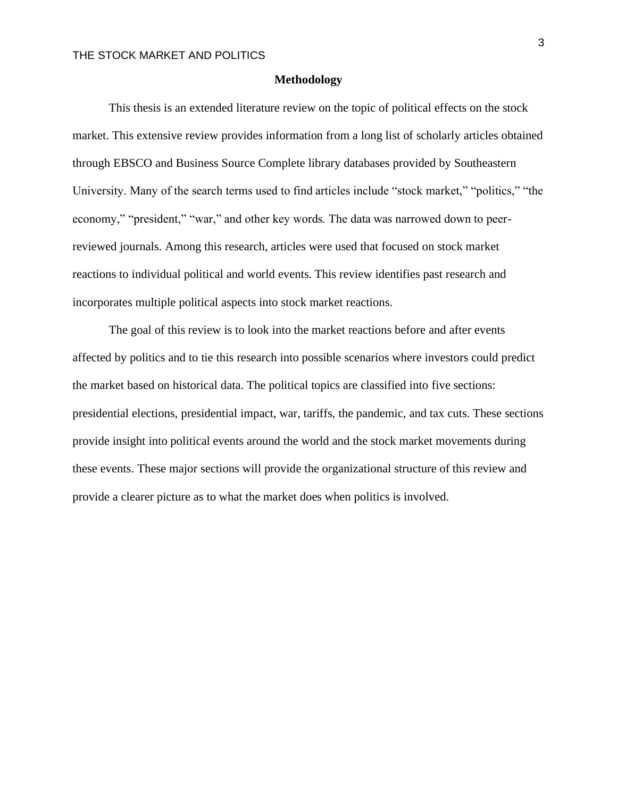#### **Methodology**

This thesis is an extended literature review on the topic of political effects on the stock market. This extensive review provides information from a long list of scholarly articles obtained through EBSCO and Business Source Complete library databases provided by Southeastern University. Many of the search terms used to find articles include "stock market," "politics," "the economy," "president," "war," and other key words. The data was narrowed down to peerreviewed journals. Among this research, articles were used that focused on stock market reactions to individual political and world events. This review identifies past research and incorporates multiple political aspects into stock market reactions.

The goal of this review is to look into the market reactions before and after events affected by politics and to tie this research into possible scenarios where investors could predict the market based on historical data. The political topics are classified into five sections: presidential elections, presidential impact, war, tariffs, the pandemic, and tax cuts. These sections provide insight into political events around the world and the stock market movements during these events. These major sections will provide the organizational structure of this review and provide a clearer picture as to what the market does when politics is involved.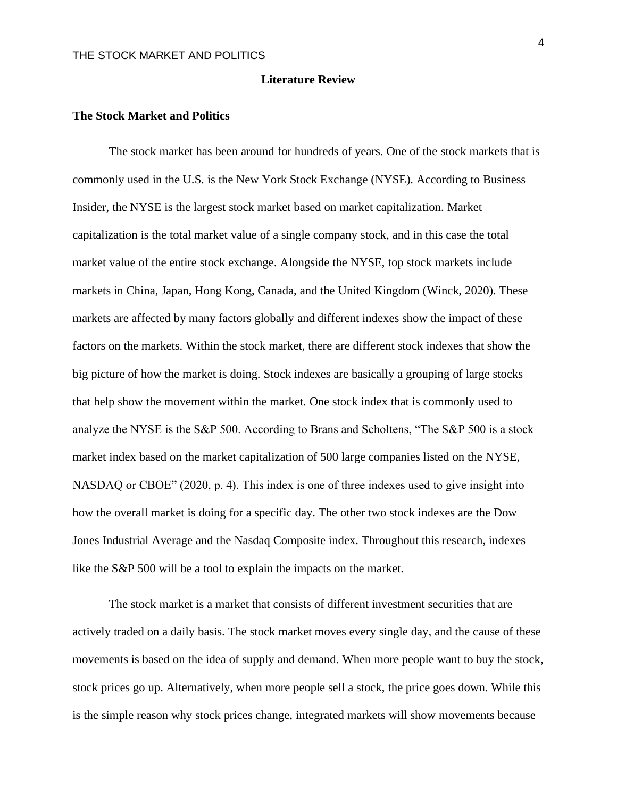#### **Literature Review**

#### **The Stock Market and Politics**

The stock market has been around for hundreds of years. One of the stock markets that is commonly used in the U.S. is the New York Stock Exchange (NYSE). According to Business Insider, the NYSE is the largest stock market based on market capitalization. Market capitalization is the total market value of a single company stock, and in this case the total market value of the entire stock exchange. Alongside the NYSE, top stock markets include markets in China, Japan, Hong Kong, Canada, and the United Kingdom (Winck, 2020). These markets are affected by many factors globally and different indexes show the impact of these factors on the markets. Within the stock market, there are different stock indexes that show the big picture of how the market is doing. Stock indexes are basically a grouping of large stocks that help show the movement within the market. One stock index that is commonly used to analyze the NYSE is the S&P 500. According to Brans and Scholtens, "The S&P 500 is a stock market index based on the market capitalization of 500 large companies listed on the NYSE, NASDAQ or CBOE" (2020, p. 4). This index is one of three indexes used to give insight into how the overall market is doing for a specific day. The other two stock indexes are the Dow Jones Industrial Average and the Nasdaq Composite index. Throughout this research, indexes like the S&P 500 will be a tool to explain the impacts on the market.

The stock market is a market that consists of different investment securities that are actively traded on a daily basis. The stock market moves every single day, and the cause of these movements is based on the idea of supply and demand. When more people want to buy the stock, stock prices go up. Alternatively, when more people sell a stock, the price goes down. While this is the simple reason why stock prices change, integrated markets will show movements because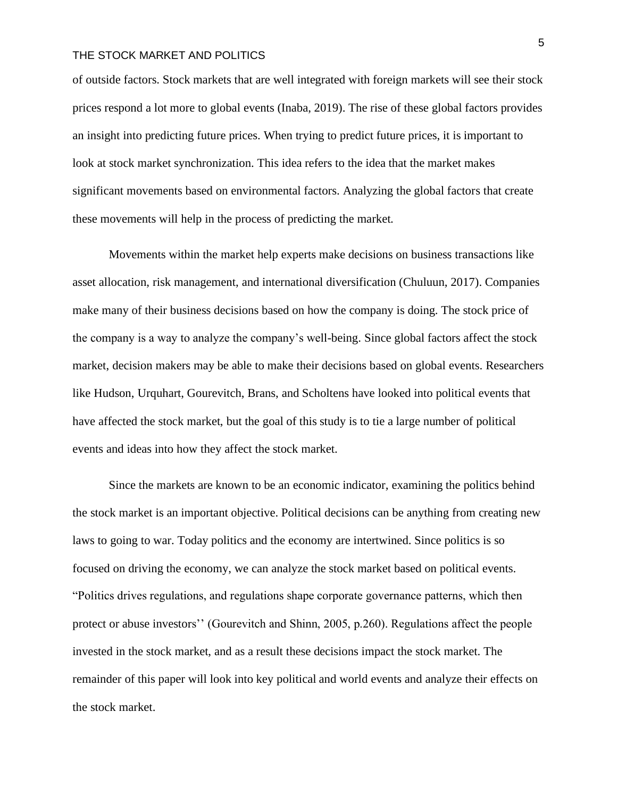of outside factors. Stock markets that are well integrated with foreign markets will see their stock prices respond a lot more to global events (Inaba, 2019). The rise of these global factors provides an insight into predicting future prices. When trying to predict future prices, it is important to look at stock market synchronization. This idea refers to the idea that the market makes significant movements based on environmental factors. Analyzing the global factors that create these movements will help in the process of predicting the market.

Movements within the market help experts make decisions on business transactions like asset allocation, risk management, and international diversification (Chuluun, 2017). Companies make many of their business decisions based on how the company is doing. The stock price of the company is a way to analyze the company's well-being. Since global factors affect the stock market, decision makers may be able to make their decisions based on global events. Researchers like Hudson, Urquhart, Gourevitch, Brans, and Scholtens have looked into political events that have affected the stock market, but the goal of this study is to tie a large number of political events and ideas into how they affect the stock market.

Since the markets are known to be an economic indicator, examining the politics behind the stock market is an important objective. Political decisions can be anything from creating new laws to going to war. Today politics and the economy are intertwined. Since politics is so focused on driving the economy, we can analyze the stock market based on political events. "Politics drives regulations, and regulations shape corporate governance patterns, which then protect or abuse investors'' (Gourevitch and Shinn, 2005, p.260). Regulations affect the people invested in the stock market, and as a result these decisions impact the stock market. The remainder of this paper will look into key political and world events and analyze their effects on the stock market.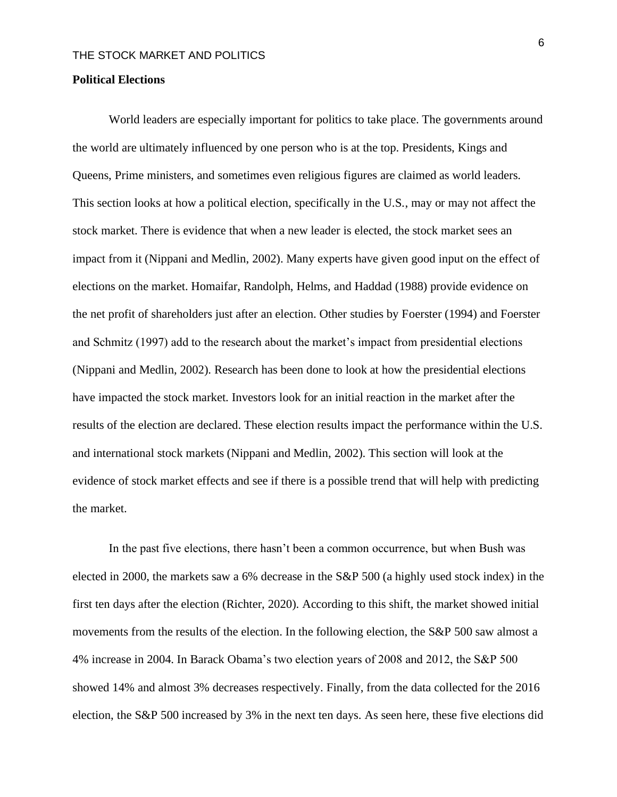#### **Political Elections**

World leaders are especially important for politics to take place. The governments around the world are ultimately influenced by one person who is at the top. Presidents, Kings and Queens, Prime ministers, and sometimes even religious figures are claimed as world leaders. This section looks at how a political election, specifically in the U.S., may or may not affect the stock market. There is evidence that when a new leader is elected, the stock market sees an impact from it (Nippani and Medlin, 2002). Many experts have given good input on the effect of elections on the market. Homaifar, Randolph, Helms, and Haddad (1988) provide evidence on the net profit of shareholders just after an election. Other studies by Foerster (1994) and Foerster and Schmitz (1997) add to the research about the market's impact from presidential elections (Nippani and Medlin, 2002). Research has been done to look at how the presidential elections have impacted the stock market. Investors look for an initial reaction in the market after the results of the election are declared. These election results impact the performance within the U.S. and international stock markets (Nippani and Medlin, 2002). This section will look at the evidence of stock market effects and see if there is a possible trend that will help with predicting the market.

In the past five elections, there hasn't been a common occurrence, but when Bush was elected in 2000, the markets saw a 6% decrease in the S&P 500 (a highly used stock index) in the first ten days after the election (Richter, 2020). According to this shift, the market showed initial movements from the results of the election. In the following election, the S&P 500 saw almost a 4% increase in 2004. In Barack Obama's two election years of 2008 and 2012, the S&P 500 showed 14% and almost 3% decreases respectively. Finally, from the data collected for the 2016 election, the S&P 500 increased by 3% in the next ten days. As seen here, these five elections did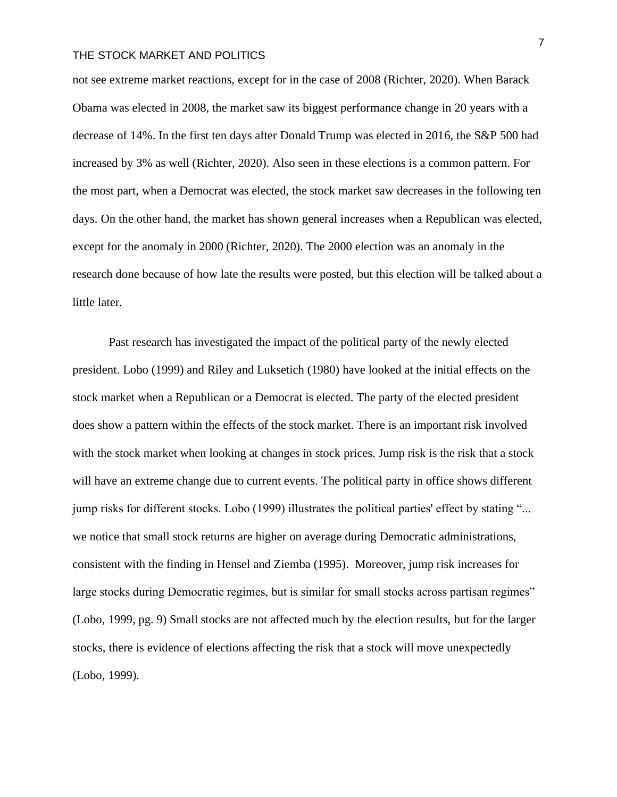not see extreme market reactions, except for in the case of 2008 (Richter, 2020). When Barack Obama was elected in 2008, the market saw its biggest performance change in 20 years with a decrease of 14%. In the first ten days after Donald Trump was elected in 2016, the S&P 500 had increased by 3% as well (Richter, 2020). Also seen in these elections is a common pattern. For the most part, when a Democrat was elected, the stock market saw decreases in the following ten days. On the other hand, the market has shown general increases when a Republican was elected, except for the anomaly in 2000 (Richter, 2020). The 2000 election was an anomaly in the research done because of how late the results were posted, but this election will be talked about a little later.

Past research has investigated the impact of the political party of the newly elected president. Lobo (1999) and Riley and Luksetich (1980) have looked at the initial effects on the stock market when a Republican or a Democrat is elected. The party of the elected president does show a pattern within the effects of the stock market. There is an important risk involved with the stock market when looking at changes in stock prices. Jump risk is the risk that a stock will have an extreme change due to current events. The political party in office shows different jump risks for different stocks. Lobo (1999) illustrates the political parties' effect by stating "... we notice that small stock returns are higher on average during Democratic administrations, consistent with the finding in Hensel and Ziemba (1995). Moreover, jump risk increases for large stocks during Democratic regimes, but is similar for small stocks across partisan regimes" (Lobo, 1999, pg. 9) Small stocks are not affected much by the election results, but for the larger stocks, there is evidence of elections affecting the risk that a stock will move unexpectedly (Lobo, 1999).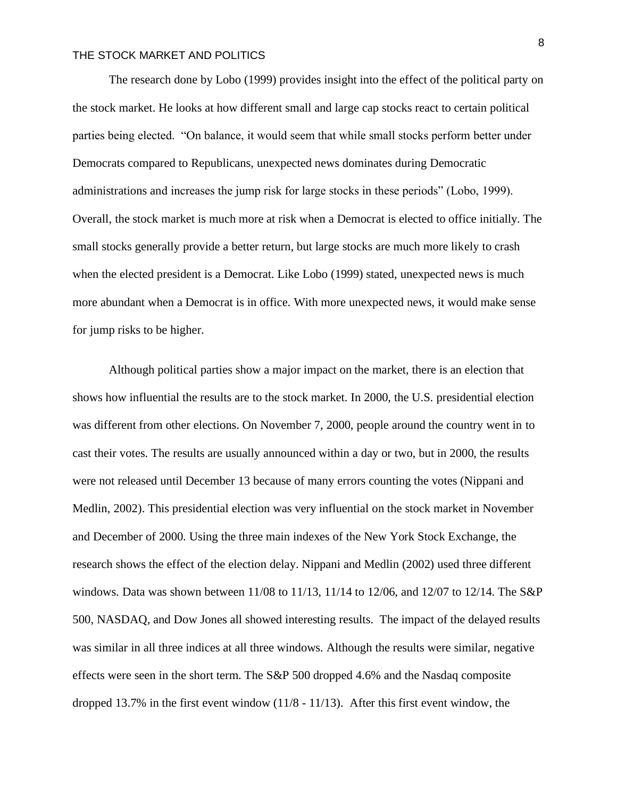The research done by Lobo (1999) provides insight into the effect of the political party on the stock market. He looks at how different small and large cap stocks react to certain political parties being elected. "On balance, it would seem that while small stocks perform better under Democrats compared to Republicans, unexpected news dominates during Democratic administrations and increases the jump risk for large stocks in these periods" (Lobo, 1999). Overall, the stock market is much more at risk when a Democrat is elected to office initially. The small stocks generally provide a better return, but large stocks are much more likely to crash when the elected president is a Democrat. Like Lobo (1999) stated, unexpected news is much more abundant when a Democrat is in office. With more unexpected news, it would make sense for jump risks to be higher.

 Although political parties show a major impact on the market, there is an election that shows how influential the results are to the stock market. In 2000, the U.S. presidential election was different from other elections. On November 7, 2000, people around the country went in to cast their votes. The results are usually announced within a day or two, but in 2000, the results were not released until December 13 because of many errors counting the votes (Nippani and Medlin, 2002). This presidential election was very influential on the stock market in November and December of 2000. Using the three main indexes of the New York Stock Exchange, the research shows the effect of the election delay. Nippani and Medlin (2002) used three different windows. Data was shown between 11/08 to 11/13, 11/14 to 12/06, and 12/07 to 12/14. The S&P 500, NASDAQ, and Dow Jones all showed interesting results. The impact of the delayed results was similar in all three indices at all three windows. Although the results were similar, negative effects were seen in the short term. The S&P 500 dropped 4.6% and the Nasdaq composite dropped 13.7% in the first event window (11/8 - 11/13). After this first event window, the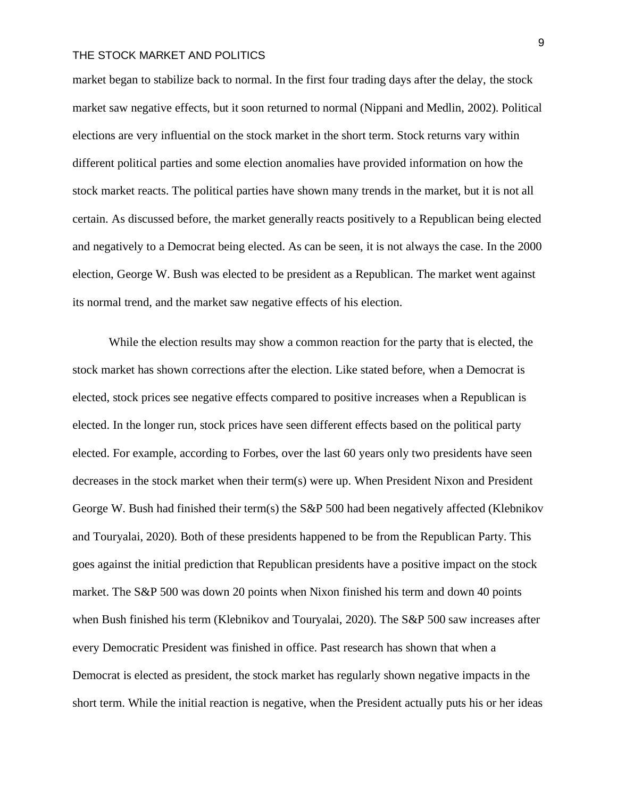market began to stabilize back to normal. In the first four trading days after the delay, the stock market saw negative effects, but it soon returned to normal (Nippani and Medlin, 2002). Political elections are very influential on the stock market in the short term. Stock returns vary within different political parties and some election anomalies have provided information on how the stock market reacts. The political parties have shown many trends in the market, but it is not all certain. As discussed before, the market generally reacts positively to a Republican being elected and negatively to a Democrat being elected. As can be seen, it is not always the case. In the 2000 election, George W. Bush was elected to be president as a Republican. The market went against its normal trend, and the market saw negative effects of his election.

 While the election results may show a common reaction for the party that is elected, the stock market has shown corrections after the election. Like stated before, when a Democrat is elected, stock prices see negative effects compared to positive increases when a Republican is elected. In the longer run, stock prices have seen different effects based on the political party elected. For example, according to Forbes, over the last 60 years only two presidents have seen decreases in the stock market when their term(s) were up. When President Nixon and President George W. Bush had finished their term(s) the S&P 500 had been negatively affected (Klebnikov and Touryalai, 2020). Both of these presidents happened to be from the Republican Party. This goes against the initial prediction that Republican presidents have a positive impact on the stock market. The S&P 500 was down 20 points when Nixon finished his term and down 40 points when Bush finished his term (Klebnikov and Touryalai, 2020). The S&P 500 saw increases after every Democratic President was finished in office. Past research has shown that when a Democrat is elected as president, the stock market has regularly shown negative impacts in the short term. While the initial reaction is negative, when the President actually puts his or her ideas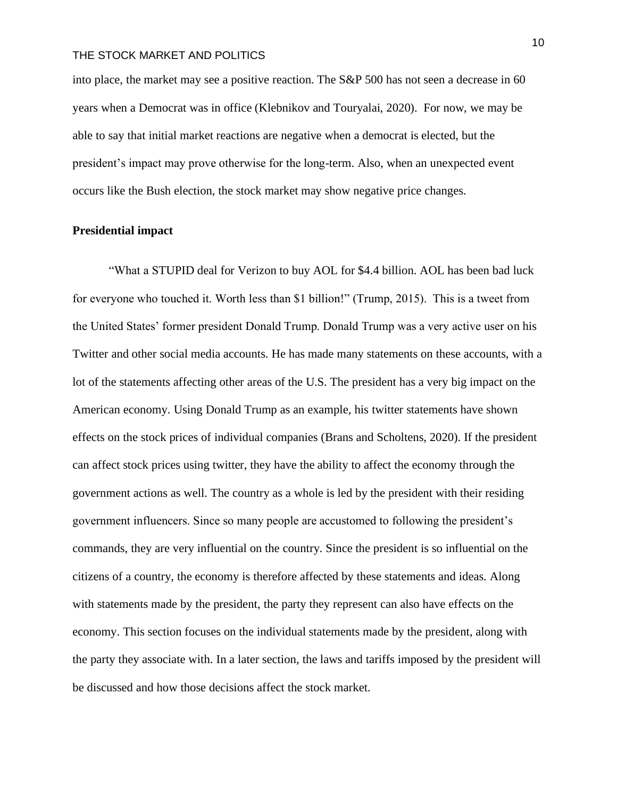into place, the market may see a positive reaction. The S&P 500 has not seen a decrease in 60 years when a Democrat was in office (Klebnikov and Touryalai, 2020). For now, we may be able to say that initial market reactions are negative when a democrat is elected, but the president's impact may prove otherwise for the long-term. Also, when an unexpected event occurs like the Bush election, the stock market may show negative price changes.

## **Presidential impact**

"What a STUPID deal for Verizon to buy AOL for \$4.4 billion. AOL has been bad luck for everyone who touched it. Worth less than \$1 billion!" (Trump, 2015). This is a tweet from the United States' former president Donald Trump. Donald Trump was a very active user on his Twitter and other social media accounts. He has made many statements on these accounts, with a lot of the statements affecting other areas of the U.S. The president has a very big impact on the American economy. Using Donald Trump as an example, his twitter statements have shown effects on the stock prices of individual companies (Brans and Scholtens, 2020). If the president can affect stock prices using twitter, they have the ability to affect the economy through the government actions as well. The country as a whole is led by the president with their residing government influencers. Since so many people are accustomed to following the president's commands, they are very influential on the country. Since the president is so influential on the citizens of a country, the economy is therefore affected by these statements and ideas. Along with statements made by the president, the party they represent can also have effects on the economy. This section focuses on the individual statements made by the president, along with the party they associate with. In a later section, the laws and tariffs imposed by the president will be discussed and how those decisions affect the stock market.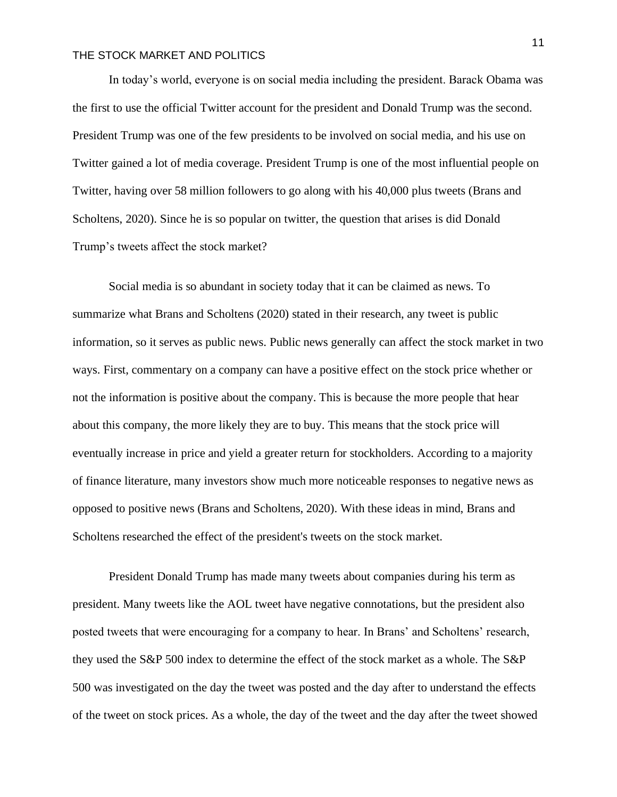In today's world, everyone is on social media including the president. Barack Obama was the first to use the official Twitter account for the president and Donald Trump was the second. President Trump was one of the few presidents to be involved on social media, and his use on Twitter gained a lot of media coverage. President Trump is one of the most influential people on Twitter, having over 58 million followers to go along with his 40,000 plus tweets (Brans and Scholtens, 2020). Since he is so popular on twitter, the question that arises is did Donald Trump's tweets affect the stock market?

Social media is so abundant in society today that it can be claimed as news. To summarize what Brans and Scholtens (2020) stated in their research, any tweet is public information, so it serves as public news. Public news generally can affect the stock market in two ways. First, commentary on a company can have a positive effect on the stock price whether or not the information is positive about the company. This is because the more people that hear about this company, the more likely they are to buy. This means that the stock price will eventually increase in price and yield a greater return for stockholders. According to a majority of finance literature, many investors show much more noticeable responses to negative news as opposed to positive news (Brans and Scholtens, 2020). With these ideas in mind, Brans and Scholtens researched the effect of the president's tweets on the stock market.

President Donald Trump has made many tweets about companies during his term as president. Many tweets like the AOL tweet have negative connotations, but the president also posted tweets that were encouraging for a company to hear. In Brans' and Scholtens' research, they used the S&P 500 index to determine the effect of the stock market as a whole. The S&P 500 was investigated on the day the tweet was posted and the day after to understand the effects of the tweet on stock prices. As a whole, the day of the tweet and the day after the tweet showed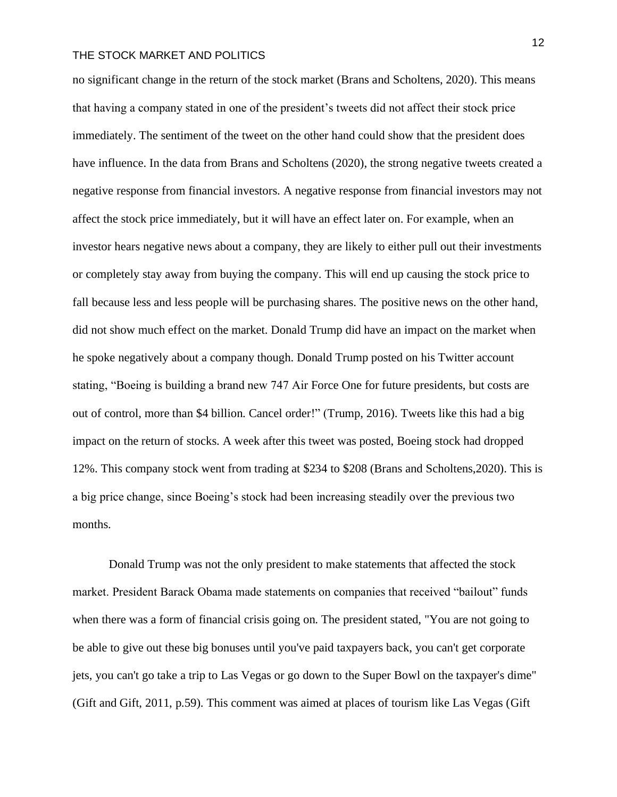no significant change in the return of the stock market (Brans and Scholtens, 2020). This means that having a company stated in one of the president's tweets did not affect their stock price immediately. The sentiment of the tweet on the other hand could show that the president does have influence. In the data from Brans and Scholtens (2020), the strong negative tweets created a negative response from financial investors. A negative response from financial investors may not affect the stock price immediately, but it will have an effect later on. For example, when an investor hears negative news about a company, they are likely to either pull out their investments or completely stay away from buying the company. This will end up causing the stock price to fall because less and less people will be purchasing shares. The positive news on the other hand, did not show much effect on the market. Donald Trump did have an impact on the market when he spoke negatively about a company though. Donald Trump posted on his Twitter account stating, "Boeing is building a brand new 747 Air Force One for future presidents, but costs are out of control, more than \$4 billion. Cancel order!" (Trump, 2016). Tweets like this had a big impact on the return of stocks. A week after this tweet was posted, Boeing stock had dropped 12%. This company stock went from trading at \$234 to \$208 (Brans and Scholtens,2020). This is a big price change, since Boeing's stock had been increasing steadily over the previous two months.

Donald Trump was not the only president to make statements that affected the stock market. President Barack Obama made statements on companies that received "bailout" funds when there was a form of financial crisis going on. The president stated, "You are not going to be able to give out these big bonuses until you've paid taxpayers back, you can't get corporate jets, you can't go take a trip to Las Vegas or go down to the Super Bowl on the taxpayer's dime" (Gift and Gift, 2011, p.59). This comment was aimed at places of tourism like Las Vegas (Gift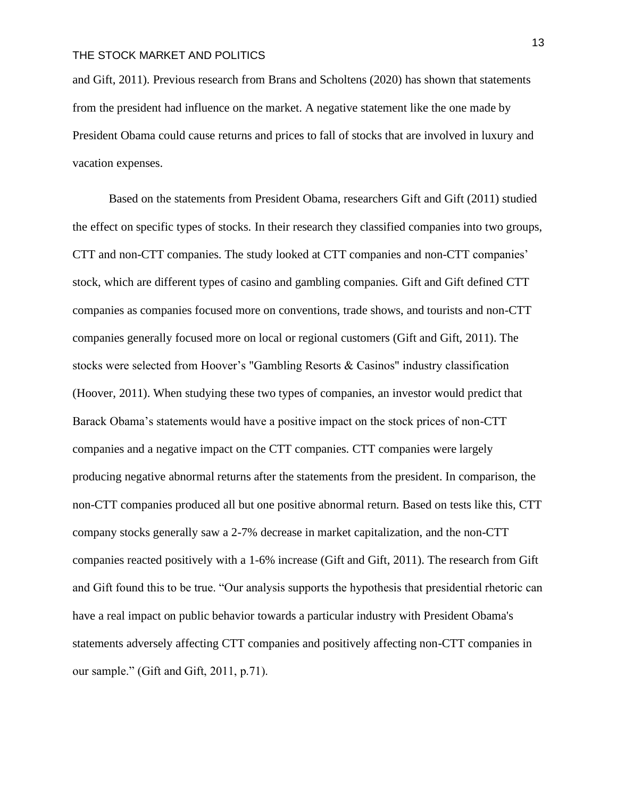and Gift, 2011). Previous research from Brans and Scholtens (2020) has shown that statements from the president had influence on the market. A negative statement like the one made by President Obama could cause returns and prices to fall of stocks that are involved in luxury and vacation expenses.

Based on the statements from President Obama, researchers Gift and Gift (2011) studied the effect on specific types of stocks. In their research they classified companies into two groups, CTT and non-CTT companies. The study looked at CTT companies and non-CTT companies' stock, which are different types of casino and gambling companies. Gift and Gift defined CTT companies as companies focused more on conventions, trade shows, and tourists and non-CTT companies generally focused more on local or regional customers (Gift and Gift, 2011). The stocks were selected from Hoover's "Gambling Resorts & Casinos" industry classification (Hoover, 2011). When studying these two types of companies, an investor would predict that Barack Obama's statements would have a positive impact on the stock prices of non-CTT companies and a negative impact on the CTT companies. CTT companies were largely producing negative abnormal returns after the statements from the president. In comparison, the non-CTT companies produced all but one positive abnormal return. Based on tests like this, CTT company stocks generally saw a 2-7% decrease in market capitalization, and the non-CTT companies reacted positively with a 1-6% increase (Gift and Gift, 2011). The research from Gift and Gift found this to be true. "Our analysis supports the hypothesis that presidential rhetoric can have a real impact on public behavior towards a particular industry with President Obama's statements adversely affecting CTT companies and positively affecting non-CTT companies in our sample." (Gift and Gift, 2011, p.71).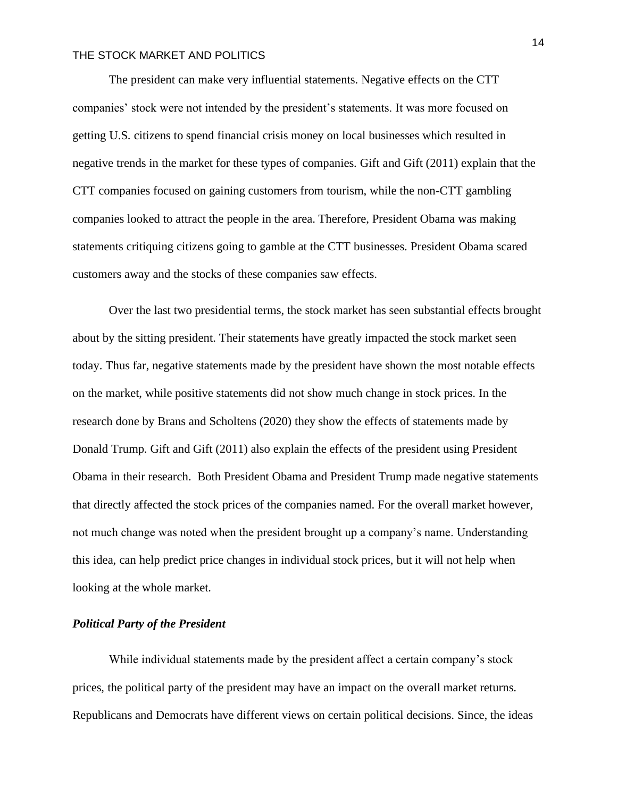The president can make very influential statements. Negative effects on the CTT companies' stock were not intended by the president's statements. It was more focused on getting U.S. citizens to spend financial crisis money on local businesses which resulted in negative trends in the market for these types of companies. Gift and Gift (2011) explain that the CTT companies focused on gaining customers from tourism, while the non-CTT gambling companies looked to attract the people in the area. Therefore, President Obama was making statements critiquing citizens going to gamble at the CTT businesses. President Obama scared customers away and the stocks of these companies saw effects.

Over the last two presidential terms, the stock market has seen substantial effects brought about by the sitting president. Their statements have greatly impacted the stock market seen today. Thus far, negative statements made by the president have shown the most notable effects on the market, while positive statements did not show much change in stock prices. In the research done by Brans and Scholtens (2020) they show the effects of statements made by Donald Trump. Gift and Gift (2011) also explain the effects of the president using President Obama in their research. Both President Obama and President Trump made negative statements that directly affected the stock prices of the companies named. For the overall market however, not much change was noted when the president brought up a company's name. Understanding this idea, can help predict price changes in individual stock prices, but it will not help when looking at the whole market.

#### *Political Party of the President*

While individual statements made by the president affect a certain company's stock prices, the political party of the president may have an impact on the overall market returns. Republicans and Democrats have different views on certain political decisions. Since, the ideas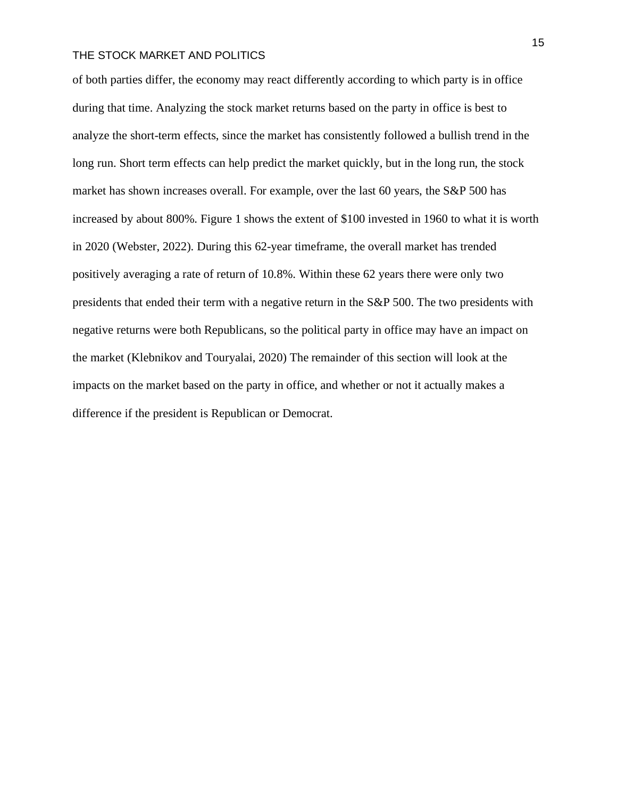of both parties differ, the economy may react differently according to which party is in office during that time. Analyzing the stock market returns based on the party in office is best to analyze the short-term effects, since the market has consistently followed a bullish trend in the long run. Short term effects can help predict the market quickly, but in the long run, the stock market has shown increases overall. For example, over the last 60 years, the S&P 500 has increased by about 800%. Figure 1 shows the extent of \$100 invested in 1960 to what it is worth in 2020 (Webster, 2022). During this 62-year timeframe, the overall market has trended positively averaging a rate of return of 10.8%. Within these 62 years there were only two presidents that ended their term with a negative return in the S&P 500. The two presidents with negative returns were both Republicans, so the political party in office may have an impact on the market (Klebnikov and Touryalai, 2020) The remainder of this section will look at the impacts on the market based on the party in office, and whether or not it actually makes a difference if the president is Republican or Democrat.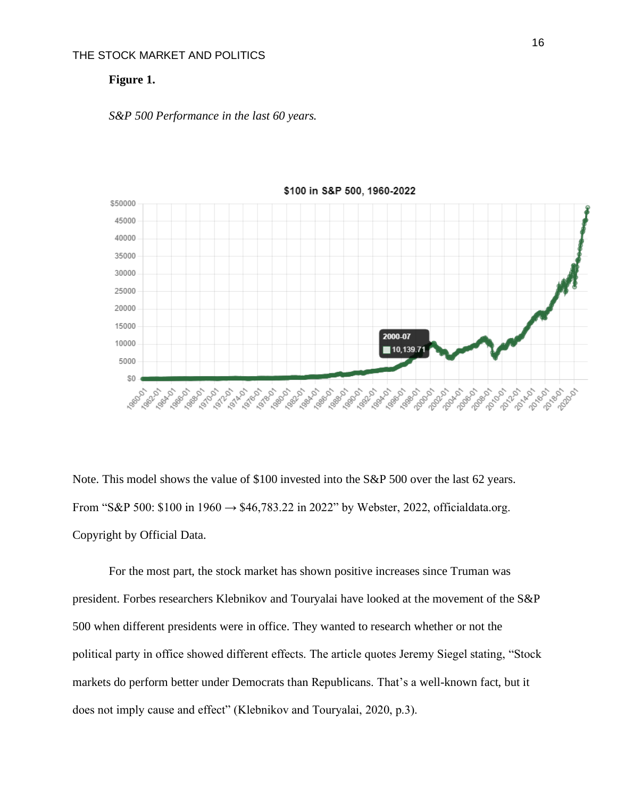#### **Figure 1.**

#### *S&P 500 Performance in the last 60 years.*



Note. This model shows the value of \$100 invested into the S&P 500 over the last 62 years. From "S&P 500: \$100 in 1960  $\rightarrow$  \$46,783.22 in 2022" by Webster, 2022, officialdata.org. Copyright by Official Data.

For the most part, the stock market has shown positive increases since Truman was president. Forbes researchers Klebnikov and Touryalai have looked at the movement of the S&P 500 when different presidents were in office. They wanted to research whether or not the political party in office showed different effects. The article quotes Jeremy Siegel stating, "Stock markets do perform better under Democrats than Republicans. That's a well-known fact, but it does not imply cause and effect" (Klebnikov and Touryalai, 2020, p.3).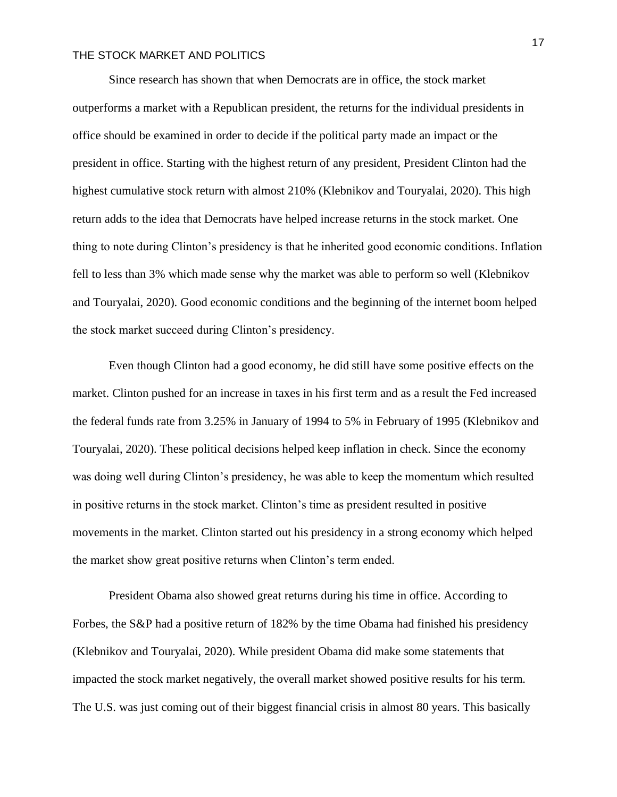Since research has shown that when Democrats are in office, the stock market outperforms a market with a Republican president, the returns for the individual presidents in office should be examined in order to decide if the political party made an impact or the president in office. Starting with the highest return of any president, President Clinton had the highest cumulative stock return with almost 210% (Klebnikov and Touryalai, 2020). This high return adds to the idea that Democrats have helped increase returns in the stock market. One thing to note during Clinton's presidency is that he inherited good economic conditions. Inflation fell to less than 3% which made sense why the market was able to perform so well (Klebnikov and Touryalai, 2020). Good economic conditions and the beginning of the internet boom helped the stock market succeed during Clinton's presidency.

Even though Clinton had a good economy, he did still have some positive effects on the market. Clinton pushed for an increase in taxes in his first term and as a result the Fed increased the federal funds rate from 3.25% in January of 1994 to 5% in February of 1995 (Klebnikov and Touryalai, 2020). These political decisions helped keep inflation in check. Since the economy was doing well during Clinton's presidency, he was able to keep the momentum which resulted in positive returns in the stock market. Clinton's time as president resulted in positive movements in the market. Clinton started out his presidency in a strong economy which helped the market show great positive returns when Clinton's term ended.

President Obama also showed great returns during his time in office. According to Forbes, the S&P had a positive return of 182% by the time Obama had finished his presidency (Klebnikov and Touryalai, 2020). While president Obama did make some statements that impacted the stock market negatively, the overall market showed positive results for his term. The U.S. was just coming out of their biggest financial crisis in almost 80 years. This basically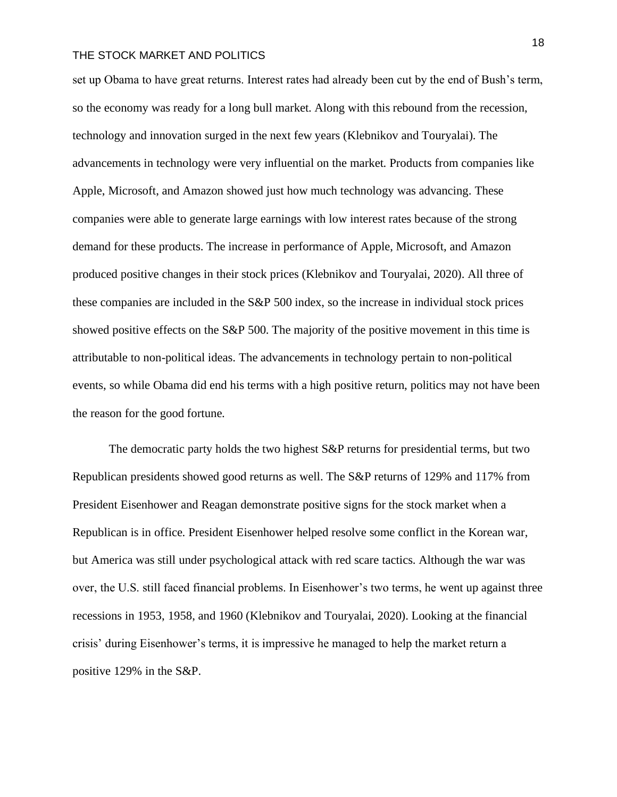set up Obama to have great returns. Interest rates had already been cut by the end of Bush's term, so the economy was ready for a long bull market. Along with this rebound from the recession, technology and innovation surged in the next few years (Klebnikov and Touryalai). The advancements in technology were very influential on the market. Products from companies like Apple, Microsoft, and Amazon showed just how much technology was advancing. These companies were able to generate large earnings with low interest rates because of the strong demand for these products. The increase in performance of Apple, Microsoft, and Amazon produced positive changes in their stock prices (Klebnikov and Touryalai, 2020). All three of these companies are included in the S&P 500 index, so the increase in individual stock prices showed positive effects on the S&P 500. The majority of the positive movement in this time is attributable to non-political ideas. The advancements in technology pertain to non-political events, so while Obama did end his terms with a high positive return, politics may not have been the reason for the good fortune.

The democratic party holds the two highest S&P returns for presidential terms, but two Republican presidents showed good returns as well. The S&P returns of 129% and 117% from President Eisenhower and Reagan demonstrate positive signs for the stock market when a Republican is in office. President Eisenhower helped resolve some conflict in the Korean war, but America was still under psychological attack with red scare tactics. Although the war was over, the U.S. still faced financial problems. In Eisenhower's two terms, he went up against three recessions in 1953, 1958, and 1960 (Klebnikov and Touryalai, 2020). Looking at the financial crisis' during Eisenhower's terms, it is impressive he managed to help the market return a positive 129% in the S&P.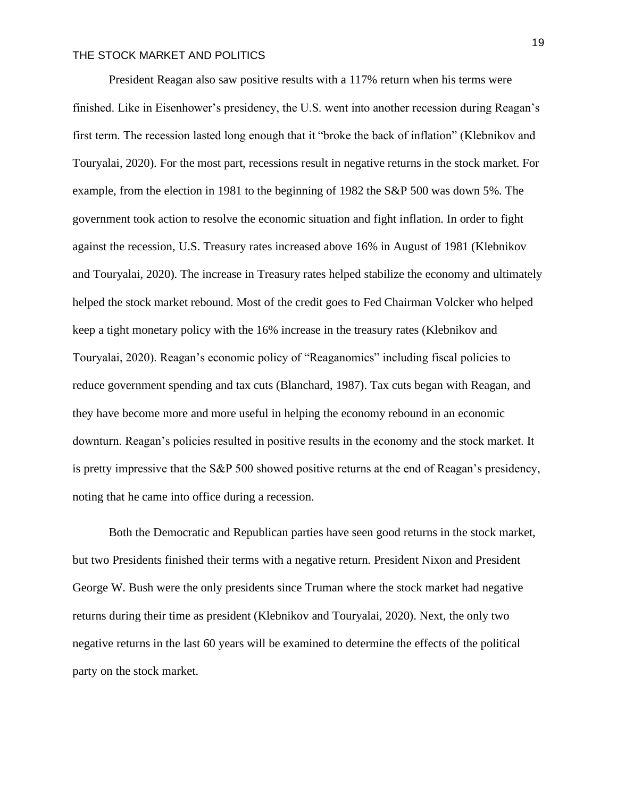President Reagan also saw positive results with a 117% return when his terms were finished. Like in Eisenhower's presidency, the U.S. went into another recession during Reagan's first term. The recession lasted long enough that it "broke the back of inflation" (Klebnikov and Touryalai, 2020). For the most part, recessions result in negative returns in the stock market. For example, from the election in 1981 to the beginning of 1982 the S&P 500 was down 5%. The government took action to resolve the economic situation and fight inflation. In order to fight against the recession, U.S. Treasury rates increased above 16% in August of 1981 (Klebnikov and Touryalai, 2020). The increase in Treasury rates helped stabilize the economy and ultimately helped the stock market rebound. Most of the credit goes to Fed Chairman Volcker who helped keep a tight monetary policy with the 16% increase in the treasury rates (Klebnikov and Touryalai, 2020). Reagan's economic policy of "Reaganomics" including fiscal policies to reduce government spending and tax cuts (Blanchard, 1987). Tax cuts began with Reagan, and they have become more and more useful in helping the economy rebound in an economic downturn. Reagan's policies resulted in positive results in the economy and the stock market. It is pretty impressive that the S&P 500 showed positive returns at the end of Reagan's presidency, noting that he came into office during a recession.

Both the Democratic and Republican parties have seen good returns in the stock market, but two Presidents finished their terms with a negative return. President Nixon and President George W. Bush were the only presidents since Truman where the stock market had negative returns during their time as president (Klebnikov and Touryalai, 2020). Next, the only two negative returns in the last 60 years will be examined to determine the effects of the political party on the stock market.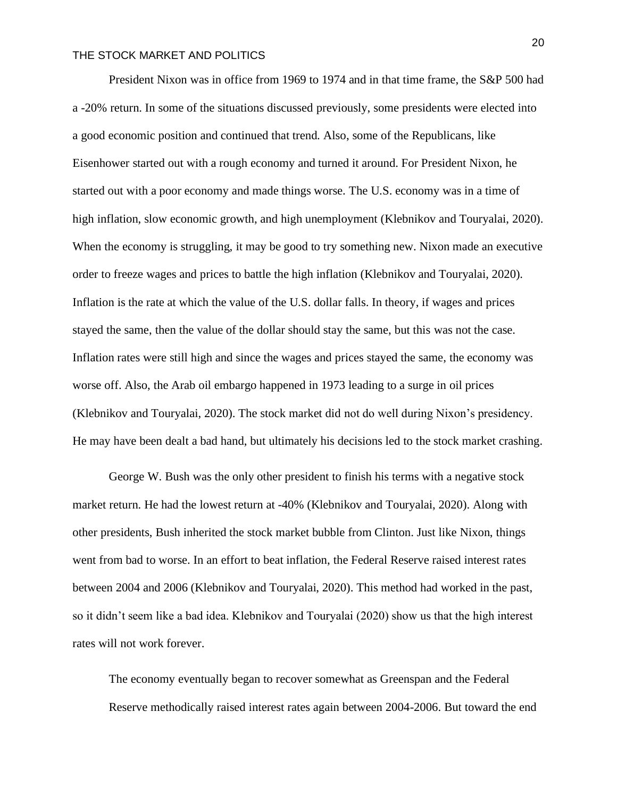President Nixon was in office from 1969 to 1974 and in that time frame, the S&P 500 had a -20% return. In some of the situations discussed previously, some presidents were elected into a good economic position and continued that trend. Also, some of the Republicans, like Eisenhower started out with a rough economy and turned it around. For President Nixon, he started out with a poor economy and made things worse. The U.S. economy was in a time of high inflation, slow economic growth, and high unemployment (Klebnikov and Touryalai, 2020). When the economy is struggling, it may be good to try something new. Nixon made an executive order to freeze wages and prices to battle the high inflation (Klebnikov and Touryalai, 2020). Inflation is the rate at which the value of the U.S. dollar falls. In theory, if wages and prices stayed the same, then the value of the dollar should stay the same, but this was not the case. Inflation rates were still high and since the wages and prices stayed the same, the economy was worse off. Also, the Arab oil embargo happened in 1973 leading to a surge in oil prices (Klebnikov and Touryalai, 2020). The stock market did not do well during Nixon's presidency. He may have been dealt a bad hand, but ultimately his decisions led to the stock market crashing.

George W. Bush was the only other president to finish his terms with a negative stock market return. He had the lowest return at -40% (Klebnikov and Touryalai, 2020). Along with other presidents, Bush inherited the stock market bubble from Clinton. Just like Nixon, things went from bad to worse. In an effort to beat inflation, the Federal Reserve raised interest rates between 2004 and 2006 (Klebnikov and Touryalai, 2020). This method had worked in the past, so it didn't seem like a bad idea. Klebnikov and Touryalai (2020) show us that the high interest rates will not work forever.

The economy eventually began to recover somewhat as Greenspan and the Federal Reserve methodically raised interest rates again between 2004-2006. But toward the end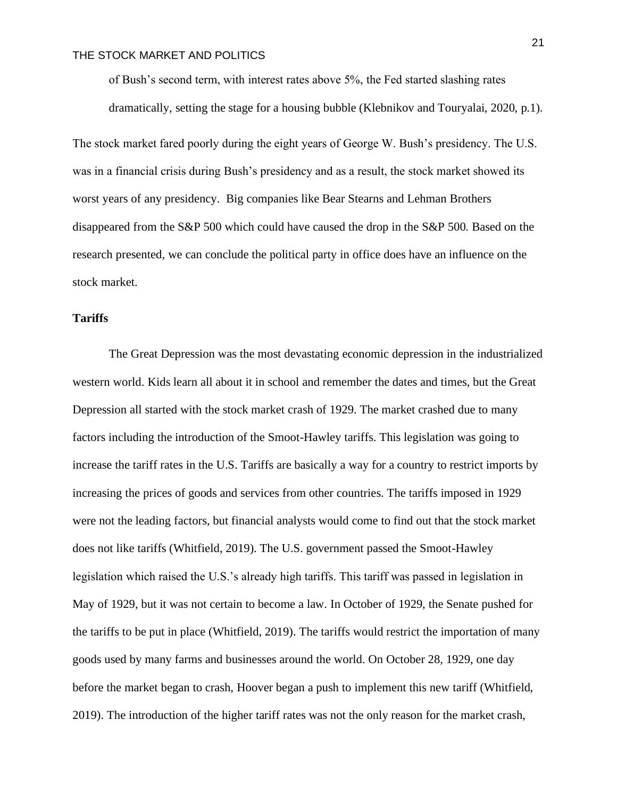of Bush's second term, with interest rates above 5%, the Fed started slashing rates dramatically, setting the stage for a housing bubble (Klebnikov and Touryalai, 2020, p.1).

The stock market fared poorly during the eight years of George W. Bush's presidency. The U.S. was in a financial crisis during Bush's presidency and as a result, the stock market showed its worst years of any presidency. Big companies like Bear Stearns and Lehman Brothers disappeared from the S&P 500 which could have caused the drop in the S&P 500. Based on the research presented, we can conclude the political party in office does have an influence on the stock market.

#### **Tariffs**

The Great Depression was the most devastating economic depression in the industrialized western world. Kids learn all about it in school and remember the dates and times, but the Great Depression all started with the stock market crash of 1929. The market crashed due to many factors including the introduction of the Smoot-Hawley tariffs. This legislation was going to increase the tariff rates in the U.S. Tariffs are basically a way for a country to restrict imports by increasing the prices of goods and services from other countries. The tariffs imposed in 1929 were not the leading factors, but financial analysts would come to find out that the stock market does not like tariffs (Whitfield, 2019). The U.S. government passed the Smoot-Hawley legislation which raised the U.S.'s already high tariffs. This tariff was passed in legislation in May of 1929, but it was not certain to become a law. In October of 1929, the Senate pushed for the tariffs to be put in place (Whitfield, 2019). The tariffs would restrict the importation of many goods used by many farms and businesses around the world. On October 28, 1929, one day before the market began to crash, Hoover began a push to implement this new tariff (Whitfield, 2019). The introduction of the higher tariff rates was not the only reason for the market crash,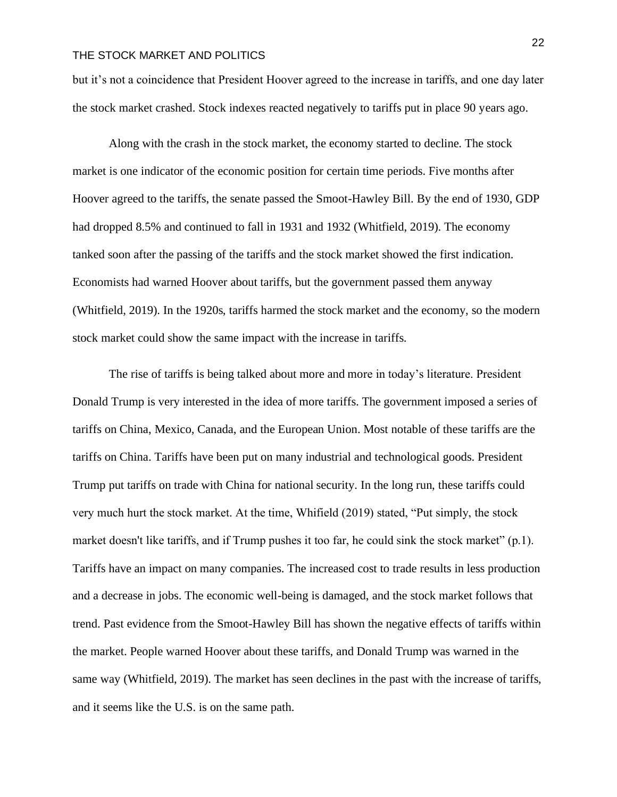but it's not a coincidence that President Hoover agreed to the increase in tariffs, and one day later the stock market crashed. Stock indexes reacted negatively to tariffs put in place 90 years ago.

Along with the crash in the stock market, the economy started to decline. The stock market is one indicator of the economic position for certain time periods. Five months after Hoover agreed to the tariffs, the senate passed the Smoot-Hawley Bill. By the end of 1930, GDP had dropped 8.5% and continued to fall in 1931 and 1932 (Whitfield, 2019). The economy tanked soon after the passing of the tariffs and the stock market showed the first indication. Economists had warned Hoover about tariffs, but the government passed them anyway (Whitfield, 2019). In the 1920s, tariffs harmed the stock market and the economy, so the modern stock market could show the same impact with the increase in tariffs.

The rise of tariffs is being talked about more and more in today's literature. President Donald Trump is very interested in the idea of more tariffs. The government imposed a series of tariffs on China, Mexico, Canada, and the European Union. Most notable of these tariffs are the tariffs on China. Tariffs have been put on many industrial and technological goods. President Trump put tariffs on trade with China for national security. In the long run, these tariffs could very much hurt the stock market. At the time, Whifield (2019) stated, "Put simply, the stock market doesn't like tariffs, and if Trump pushes it too far, he could sink the stock market"  $(p,1)$ . Tariffs have an impact on many companies. The increased cost to trade results in less production and a decrease in jobs. The economic well-being is damaged, and the stock market follows that trend. Past evidence from the Smoot-Hawley Bill has shown the negative effects of tariffs within the market. People warned Hoover about these tariffs, and Donald Trump was warned in the same way (Whitfield, 2019). The market has seen declines in the past with the increase of tariffs, and it seems like the U.S. is on the same path.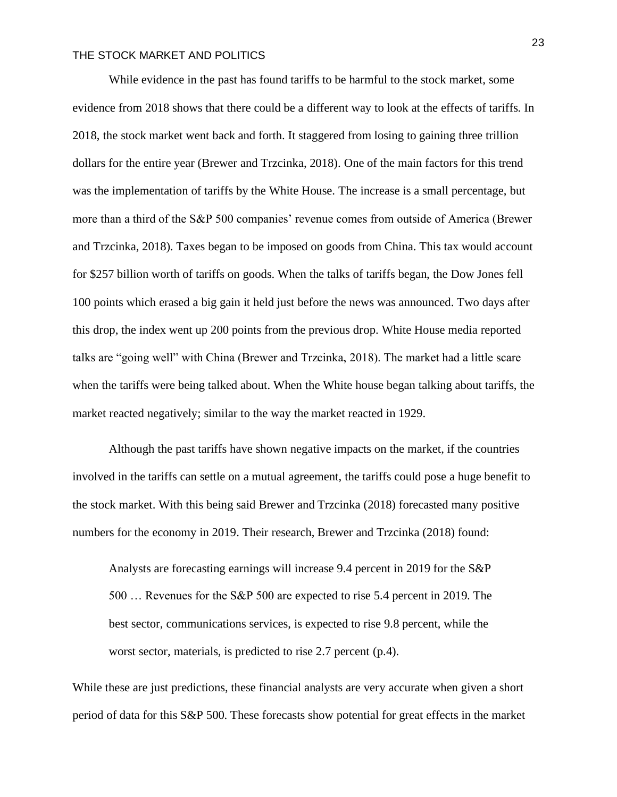While evidence in the past has found tariffs to be harmful to the stock market, some evidence from 2018 shows that there could be a different way to look at the effects of tariffs. In 2018, the stock market went back and forth. It staggered from losing to gaining three trillion dollars for the entire year (Brewer and Trzcinka, 2018). One of the main factors for this trend was the implementation of tariffs by the White House. The increase is a small percentage, but more than a third of the S&P 500 companies' revenue comes from outside of America (Brewer and Trzcinka, 2018). Taxes began to be imposed on goods from China. This tax would account for \$257 billion worth of tariffs on goods. When the talks of tariffs began, the Dow Jones fell 100 points which erased a big gain it held just before the news was announced. Two days after this drop, the index went up 200 points from the previous drop. White House media reported talks are "going well" with China (Brewer and Trzcinka, 2018). The market had a little scare when the tariffs were being talked about. When the White house began talking about tariffs, the market reacted negatively; similar to the way the market reacted in 1929.

Although the past tariffs have shown negative impacts on the market, if the countries involved in the tariffs can settle on a mutual agreement, the tariffs could pose a huge benefit to the stock market. With this being said Brewer and Trzcinka (2018) forecasted many positive numbers for the economy in 2019. Their research, Brewer and Trzcinka (2018) found:

Analysts are forecasting earnings will increase 9.4 percent in 2019 for the S&P 500 … Revenues for the S&P 500 are expected to rise 5.4 percent in 2019. The best sector, communications services, is expected to rise 9.8 percent, while the worst sector, materials, is predicted to rise 2.7 percent (p.4).

While these are just predictions, these financial analysts are very accurate when given a short period of data for this S&P 500. These forecasts show potential for great effects in the market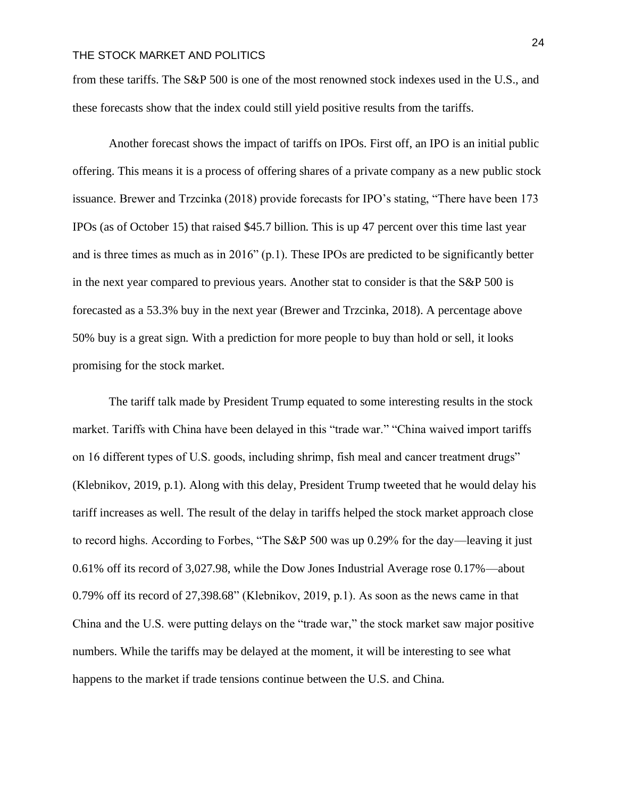from these tariffs. The S&P 500 is one of the most renowned stock indexes used in the U.S., and these forecasts show that the index could still yield positive results from the tariffs.

Another forecast shows the impact of tariffs on IPOs. First off, an IPO is an initial public offering. This means it is a process of offering shares of a private company as a new public stock issuance. Brewer and Trzcinka (2018) provide forecasts for IPO's stating, "There have been 173 IPOs (as of October 15) that raised \$45.7 billion. This is up 47 percent over this time last year and is three times as much as in 2016" (p.1). These IPOs are predicted to be significantly better in the next year compared to previous years. Another stat to consider is that the S&P 500 is forecasted as a 53.3% buy in the next year (Brewer and Trzcinka, 2018). A percentage above 50% buy is a great sign. With a prediction for more people to buy than hold or sell, it looks promising for the stock market.

The tariff talk made by President Trump equated to some interesting results in the stock market. Tariffs with China have been delayed in this "trade war." "China waived import tariffs on 16 different types of U.S. goods, including shrimp, fish meal and cancer treatment drugs" (Klebnikov, 2019, p.1). Along with this delay, President Trump tweeted that he would delay his tariff increases as well. The result of the delay in tariffs helped the stock market approach close to record highs. According to Forbes, "The S&P 500 was up 0.29% for the day—leaving it just 0.61% off its record of 3,027.98, while the Dow Jones Industrial Average rose 0.17%—about 0.79% off its record of 27,398.68" (Klebnikov, 2019, p.1). As soon as the news came in that China and the U.S. were putting delays on the "trade war," the stock market saw major positive numbers. While the tariffs may be delayed at the moment, it will be interesting to see what happens to the market if trade tensions continue between the U.S. and China.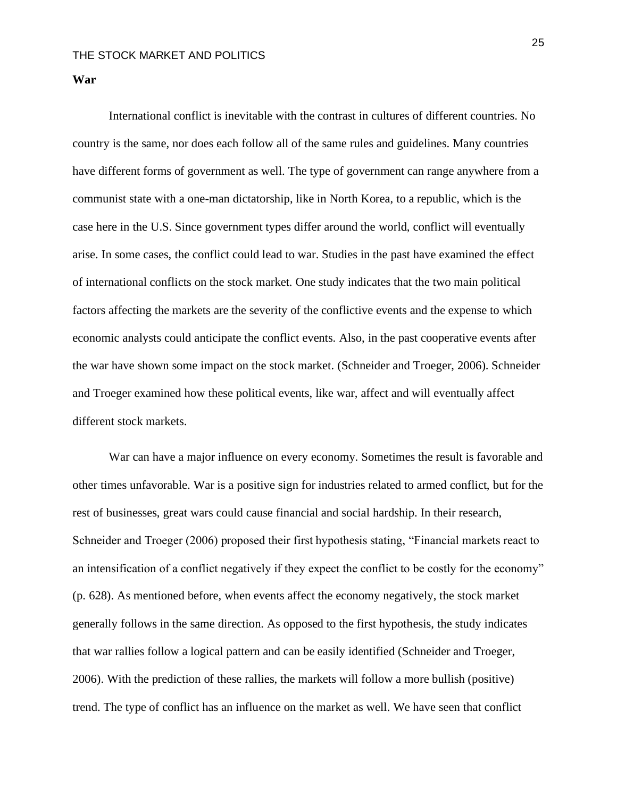**War**

International conflict is inevitable with the contrast in cultures of different countries. No country is the same, nor does each follow all of the same rules and guidelines. Many countries have different forms of government as well. The type of government can range anywhere from a communist state with a one-man dictatorship, like in North Korea, to a republic, which is the case here in the U.S. Since government types differ around the world, conflict will eventually arise. In some cases, the conflict could lead to war. Studies in the past have examined the effect of international conflicts on the stock market. One study indicates that the two main political factors affecting the markets are the severity of the conflictive events and the expense to which economic analysts could anticipate the conflict events. Also, in the past cooperative events after the war have shown some impact on the stock market. (Schneider and Troeger, 2006). Schneider and Troeger examined how these political events, like war, affect and will eventually affect different stock markets.

War can have a major influence on every economy. Sometimes the result is favorable and other times unfavorable. War is a positive sign for industries related to armed conflict, but for the rest of businesses, great wars could cause financial and social hardship. In their research, Schneider and Troeger (2006) proposed their first hypothesis stating, "Financial markets react to an intensification of a conflict negatively if they expect the conflict to be costly for the economy" (p. 628). As mentioned before, when events affect the economy negatively, the stock market generally follows in the same direction. As opposed to the first hypothesis, the study indicates that war rallies follow a logical pattern and can be easily identified (Schneider and Troeger, 2006). With the prediction of these rallies, the markets will follow a more bullish (positive) trend. The type of conflict has an influence on the market as well. We have seen that conflict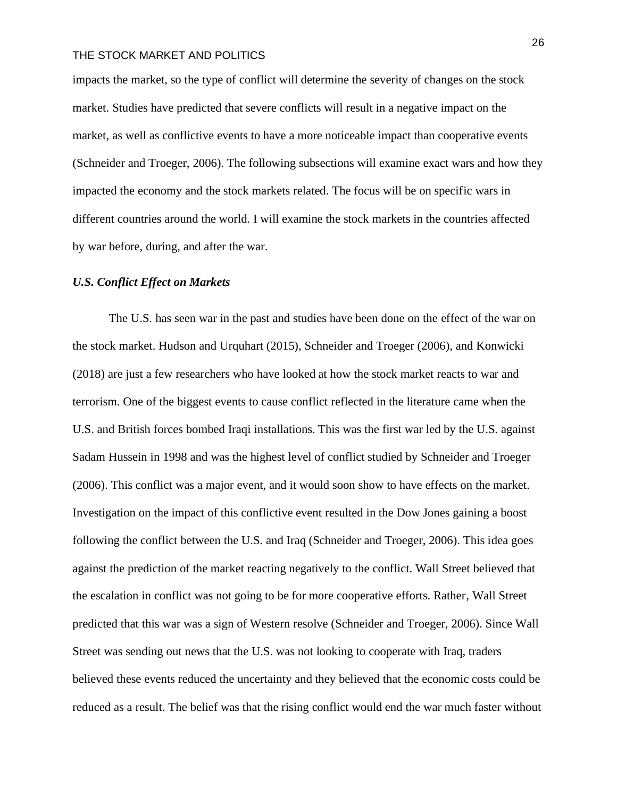impacts the market, so the type of conflict will determine the severity of changes on the stock market. Studies have predicted that severe conflicts will result in a negative impact on the market, as well as conflictive events to have a more noticeable impact than cooperative events (Schneider and Troeger, 2006). The following subsections will examine exact wars and how they impacted the economy and the stock markets related. The focus will be on specific wars in different countries around the world. I will examine the stock markets in the countries affected by war before, during, and after the war.

## *U.S. Conflict Effect on Markets*

The U.S. has seen war in the past and studies have been done on the effect of the war on the stock market. Hudson and Urquhart (2015), Schneider and Troeger (2006), and Konwicki (2018) are just a few researchers who have looked at how the stock market reacts to war and terrorism. One of the biggest events to cause conflict reflected in the literature came when the U.S. and British forces bombed Iraqi installations. This was the first war led by the U.S. against Sadam Hussein in 1998 and was the highest level of conflict studied by Schneider and Troeger (2006). This conflict was a major event, and it would soon show to have effects on the market. Investigation on the impact of this conflictive event resulted in the Dow Jones gaining a boost following the conflict between the U.S. and Iraq (Schneider and Troeger, 2006). This idea goes against the prediction of the market reacting negatively to the conflict. Wall Street believed that the escalation in conflict was not going to be for more cooperative efforts. Rather, Wall Street predicted that this war was a sign of Western resolve (Schneider and Troeger, 2006). Since Wall Street was sending out news that the U.S. was not looking to cooperate with Iraq, traders believed these events reduced the uncertainty and they believed that the economic costs could be reduced as a result. The belief was that the rising conflict would end the war much faster without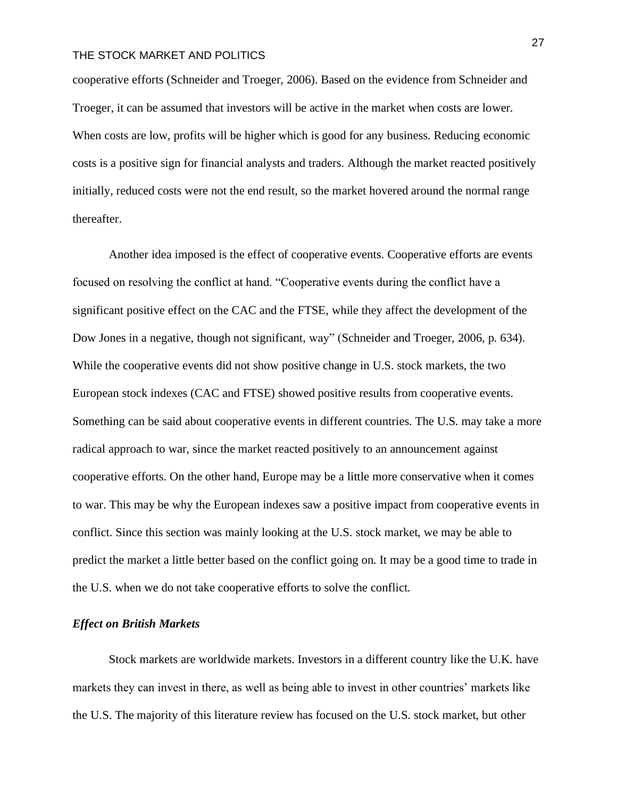cooperative efforts (Schneider and Troeger, 2006). Based on the evidence from Schneider and Troeger, it can be assumed that investors will be active in the market when costs are lower. When costs are low, profits will be higher which is good for any business. Reducing economic costs is a positive sign for financial analysts and traders. Although the market reacted positively initially, reduced costs were not the end result, so the market hovered around the normal range thereafter.

Another idea imposed is the effect of cooperative events. Cooperative efforts are events focused on resolving the conflict at hand. "Cooperative events during the conflict have a significant positive effect on the CAC and the FTSE, while they affect the development of the Dow Jones in a negative, though not significant, way" (Schneider and Troeger, 2006, p. 634). While the cooperative events did not show positive change in U.S. stock markets, the two European stock indexes (CAC and FTSE) showed positive results from cooperative events. Something can be said about cooperative events in different countries. The U.S. may take a more radical approach to war, since the market reacted positively to an announcement against cooperative efforts. On the other hand, Europe may be a little more conservative when it comes to war. This may be why the European indexes saw a positive impact from cooperative events in conflict. Since this section was mainly looking at the U.S. stock market, we may be able to predict the market a little better based on the conflict going on. It may be a good time to trade in the U.S. when we do not take cooperative efforts to solve the conflict.

#### *Effect on British Markets*

Stock markets are worldwide markets. Investors in a different country like the U.K. have markets they can invest in there, as well as being able to invest in other countries' markets like the U.S. The majority of this literature review has focused on the U.S. stock market, but other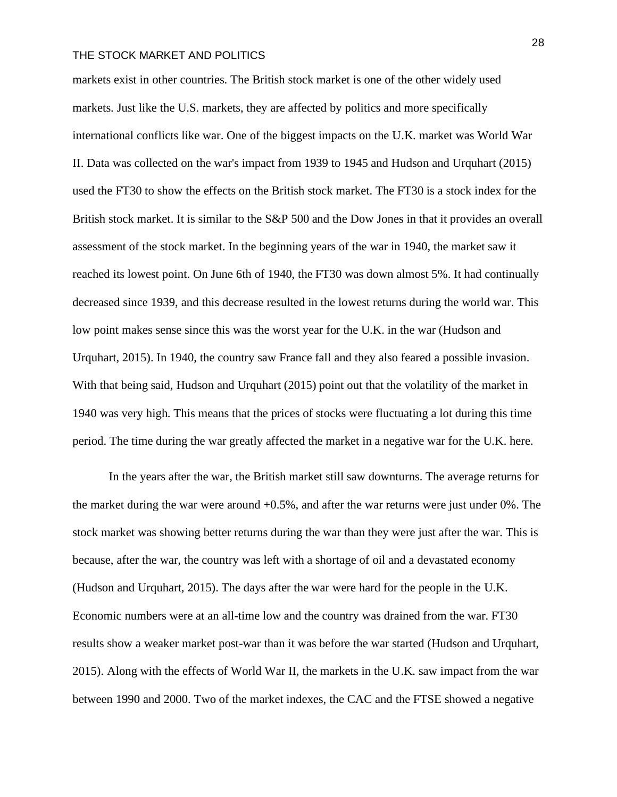markets exist in other countries. The British stock market is one of the other widely used markets. Just like the U.S. markets, they are affected by politics and more specifically international conflicts like war. One of the biggest impacts on the U.K. market was World War II. Data was collected on the war's impact from 1939 to 1945 and Hudson and Urquhart (2015) used the FT30 to show the effects on the British stock market. The FT30 is a stock index for the British stock market. It is similar to the S&P 500 and the Dow Jones in that it provides an overall assessment of the stock market. In the beginning years of the war in 1940, the market saw it reached its lowest point. On June 6th of 1940, the FT30 was down almost 5%. It had continually decreased since 1939, and this decrease resulted in the lowest returns during the world war. This low point makes sense since this was the worst year for the U.K. in the war (Hudson and Urquhart, 2015). In 1940, the country saw France fall and they also feared a possible invasion. With that being said, Hudson and Urquhart (2015) point out that the volatility of the market in 1940 was very high. This means that the prices of stocks were fluctuating a lot during this time period. The time during the war greatly affected the market in a negative war for the U.K. here.

In the years after the war, the British market still saw downturns. The average returns for the market during the war were around +0.5%, and after the war returns were just under 0%. The stock market was showing better returns during the war than they were just after the war. This is because, after the war, the country was left with a shortage of oil and a devastated economy (Hudson and Urquhart, 2015). The days after the war were hard for the people in the U.K. Economic numbers were at an all-time low and the country was drained from the war. FT30 results show a weaker market post-war than it was before the war started (Hudson and Urquhart, 2015). Along with the effects of World War II, the markets in the U.K. saw impact from the war between 1990 and 2000. Two of the market indexes, the CAC and the FTSE showed a negative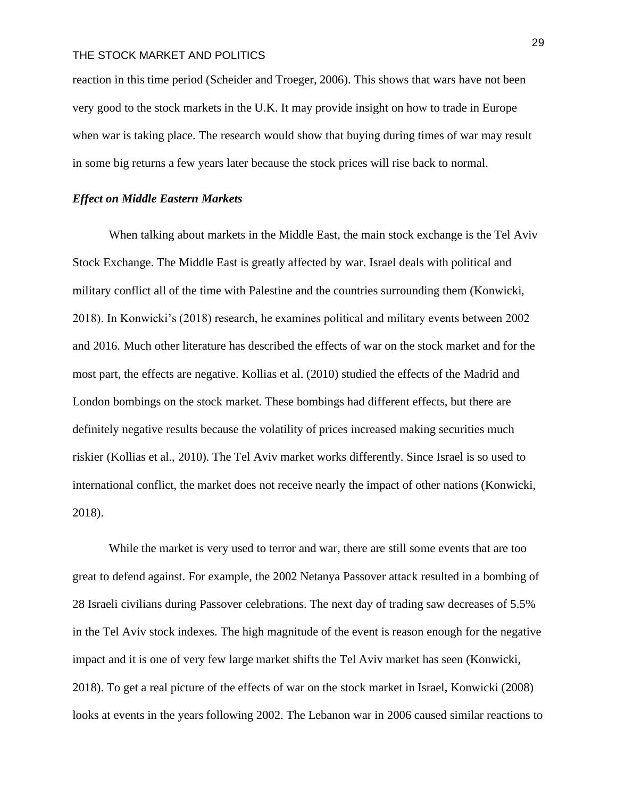reaction in this time period (Scheider and Troeger, 2006). This shows that wars have not been very good to the stock markets in the U.K. It may provide insight on how to trade in Europe when war is taking place. The research would show that buying during times of war may result in some big returns a few years later because the stock prices will rise back to normal.

#### *Effect on Middle Eastern Markets*

When talking about markets in the Middle East, the main stock exchange is the Tel Aviv Stock Exchange. The Middle East is greatly affected by war. Israel deals with political and military conflict all of the time with Palestine and the countries surrounding them (Konwicki, 2018). In Konwicki's (2018) research, he examines political and military events between 2002 and 2016. Much other literature has described the effects of war on the stock market and for the most part, the effects are negative. Kollias et al. (2010) studied the effects of the Madrid and London bombings on the stock market. These bombings had different effects, but there are definitely negative results because the volatility of prices increased making securities much riskier (Kollias et al., 2010). The Tel Aviv market works differently. Since Israel is so used to international conflict, the market does not receive nearly the impact of other nations (Konwicki, 2018).

While the market is very used to terror and war, there are still some events that are too great to defend against. For example, the 2002 Netanya Passover attack resulted in a bombing of 28 Israeli civilians during Passover celebrations. The next day of trading saw decreases of 5.5% in the Tel Aviv stock indexes. The high magnitude of the event is reason enough for the negative impact and it is one of very few large market shifts the Tel Aviv market has seen (Konwicki, 2018). To get a real picture of the effects of war on the stock market in Israel, Konwicki (2008) looks at events in the years following 2002. The Lebanon war in 2006 caused similar reactions to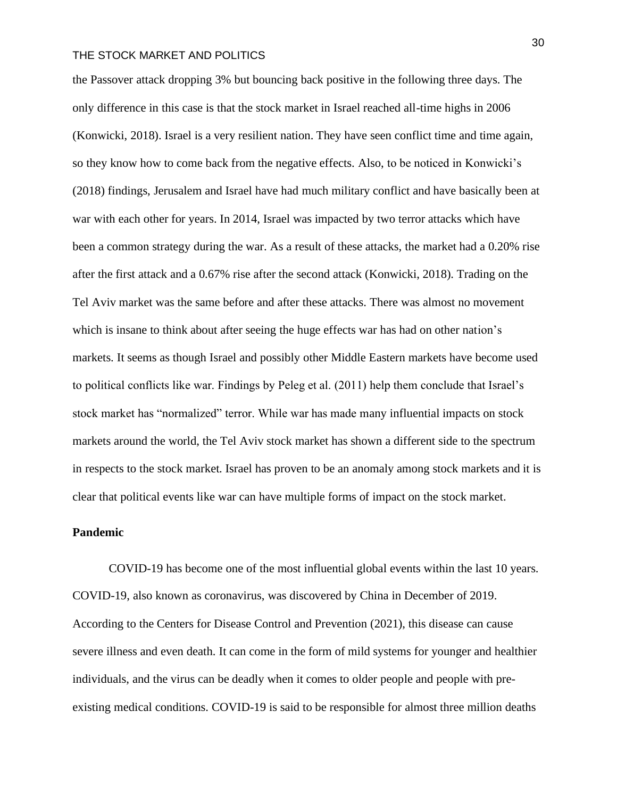the Passover attack dropping 3% but bouncing back positive in the following three days. The only difference in this case is that the stock market in Israel reached all-time highs in 2006 (Konwicki, 2018). Israel is a very resilient nation. They have seen conflict time and time again, so they know how to come back from the negative effects. Also, to be noticed in Konwicki's (2018) findings, Jerusalem and Israel have had much military conflict and have basically been at war with each other for years. In 2014, Israel was impacted by two terror attacks which have been a common strategy during the war. As a result of these attacks, the market had a 0.20% rise after the first attack and a 0.67% rise after the second attack (Konwicki, 2018). Trading on the Tel Aviv market was the same before and after these attacks. There was almost no movement which is insane to think about after seeing the huge effects war has had on other nation's markets. It seems as though Israel and possibly other Middle Eastern markets have become used to political conflicts like war. Findings by Peleg et al. (2011) help them conclude that Israel's stock market has "normalized" terror. While war has made many influential impacts on stock markets around the world, the Tel Aviv stock market has shown a different side to the spectrum in respects to the stock market. Israel has proven to be an anomaly among stock markets and it is clear that political events like war can have multiple forms of impact on the stock market.

## **Pandemic**

COVID-19 has become one of the most influential global events within the last 10 years. COVID-19, also known as coronavirus, was discovered by China in December of 2019. According to the Centers for Disease Control and Prevention (2021), this disease can cause severe illness and even death. It can come in the form of mild systems for younger and healthier individuals, and the virus can be deadly when it comes to older people and people with preexisting medical conditions. COVID-19 is said to be responsible for almost three million deaths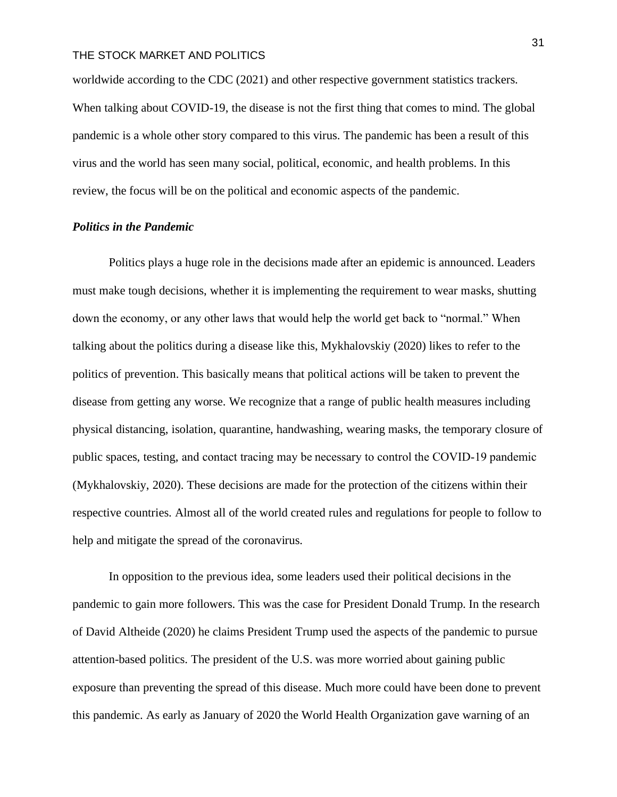worldwide according to the CDC (2021) and other respective government statistics trackers. When talking about COVID-19, the disease is not the first thing that comes to mind. The global pandemic is a whole other story compared to this virus. The pandemic has been a result of this virus and the world has seen many social, political, economic, and health problems. In this review, the focus will be on the political and economic aspects of the pandemic.

## *Politics in the Pandemic*

Politics plays a huge role in the decisions made after an epidemic is announced. Leaders must make tough decisions, whether it is implementing the requirement to wear masks, shutting down the economy, or any other laws that would help the world get back to "normal." When talking about the politics during a disease like this, Mykhalovskiy (2020) likes to refer to the politics of prevention. This basically means that political actions will be taken to prevent the disease from getting any worse. We recognize that a range of public health measures including physical distancing, isolation, quarantine, handwashing, wearing masks, the temporary closure of public spaces, testing, and contact tracing may be necessary to control the COVID‐19 pandemic (Mykhalovskiy, 2020). These decisions are made for the protection of the citizens within their respective countries. Almost all of the world created rules and regulations for people to follow to help and mitigate the spread of the coronavirus.

In opposition to the previous idea, some leaders used their political decisions in the pandemic to gain more followers. This was the case for President Donald Trump. In the research of David Altheide (2020) he claims President Trump used the aspects of the pandemic to pursue attention-based politics. The president of the U.S. was more worried about gaining public exposure than preventing the spread of this disease. Much more could have been done to prevent this pandemic. As early as January of 2020 the World Health Organization gave warning of an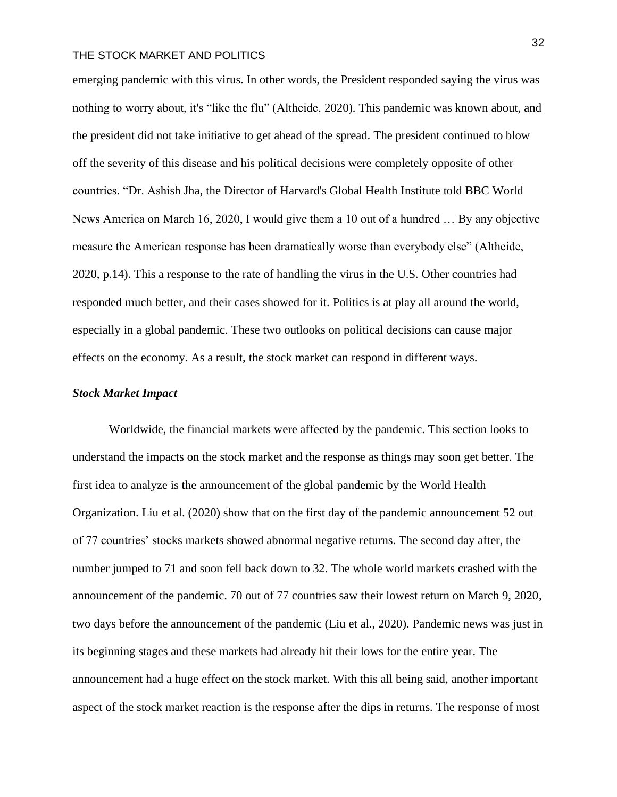emerging pandemic with this virus. In other words, the President responded saying the virus was nothing to worry about, it's "like the flu" (Altheide, 2020). This pandemic was known about, and the president did not take initiative to get ahead of the spread. The president continued to blow off the severity of this disease and his political decisions were completely opposite of other countries. "Dr. Ashish Jha, the Director of Harvard's Global Health Institute told BBC World News America on March 16, 2020, I would give them a 10 out of a hundred … By any objective measure the American response has been dramatically worse than everybody else" (Altheide, 2020, p.14). This a response to the rate of handling the virus in the U.S. Other countries had responded much better, and their cases showed for it. Politics is at play all around the world, especially in a global pandemic. These two outlooks on political decisions can cause major effects on the economy. As a result, the stock market can respond in different ways.

#### *Stock Market Impact*

Worldwide, the financial markets were affected by the pandemic. This section looks to understand the impacts on the stock market and the response as things may soon get better. The first idea to analyze is the announcement of the global pandemic by the World Health Organization. Liu et al. (2020) show that on the first day of the pandemic announcement 52 out of 77 countries' stocks markets showed abnormal negative returns. The second day after, the number jumped to 71 and soon fell back down to 32. The whole world markets crashed with the announcement of the pandemic. 70 out of 77 countries saw their lowest return on March 9, 2020, two days before the announcement of the pandemic (Liu et al., 2020). Pandemic news was just in its beginning stages and these markets had already hit their lows for the entire year. The announcement had a huge effect on the stock market. With this all being said, another important aspect of the stock market reaction is the response after the dips in returns. The response of most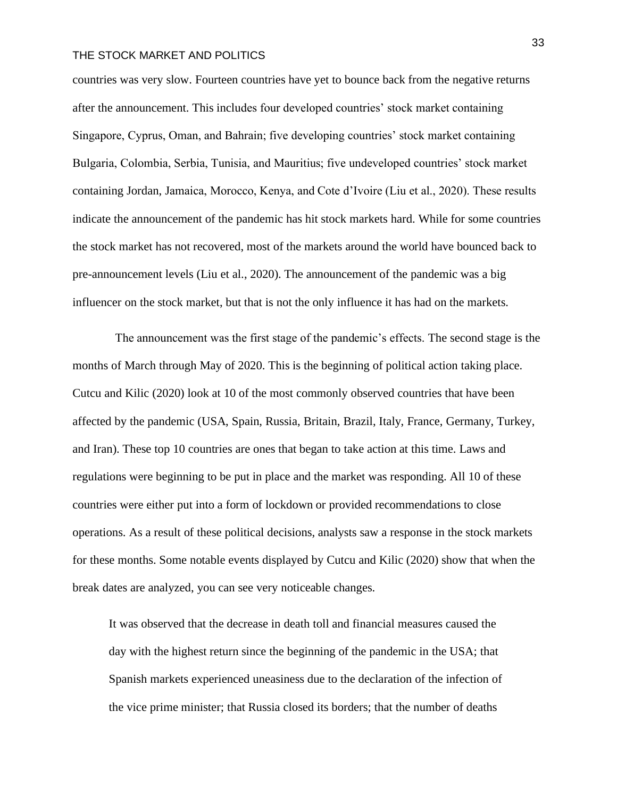countries was very slow. Fourteen countries have yet to bounce back from the negative returns after the announcement. This includes four developed countries' stock market containing Singapore, Cyprus, Oman, and Bahrain; five developing countries' stock market containing Bulgaria, Colombia, Serbia, Tunisia, and Mauritius; five undeveloped countries' stock market containing Jordan, Jamaica, Morocco, Kenya, and Cote d'Ivoire (Liu et al., 2020). These results indicate the announcement of the pandemic has hit stock markets hard. While for some countries the stock market has not recovered, most of the markets around the world have bounced back to pre-announcement levels (Liu et al., 2020). The announcement of the pandemic was a big influencer on the stock market, but that is not the only influence it has had on the markets.

 The announcement was the first stage of the pandemic's effects. The second stage is the months of March through May of 2020. This is the beginning of political action taking place. Cutcu and Kilic (2020) look at 10 of the most commonly observed countries that have been affected by the pandemic (USA, Spain, Russia, Britain, Brazil, Italy, France, Germany, Turkey, and Iran). These top 10 countries are ones that began to take action at this time. Laws and regulations were beginning to be put in place and the market was responding. All 10 of these countries were either put into a form of lockdown or provided recommendations to close operations. As a result of these political decisions, analysts saw a response in the stock markets for these months. Some notable events displayed by Cutcu and Kilic (2020) show that when the break dates are analyzed, you can see very noticeable changes.

It was observed that the decrease in death toll and financial measures caused the day with the highest return since the beginning of the pandemic in the USA; that Spanish markets experienced uneasiness due to the declaration of the infection of the vice prime minister; that Russia closed its borders; that the number of deaths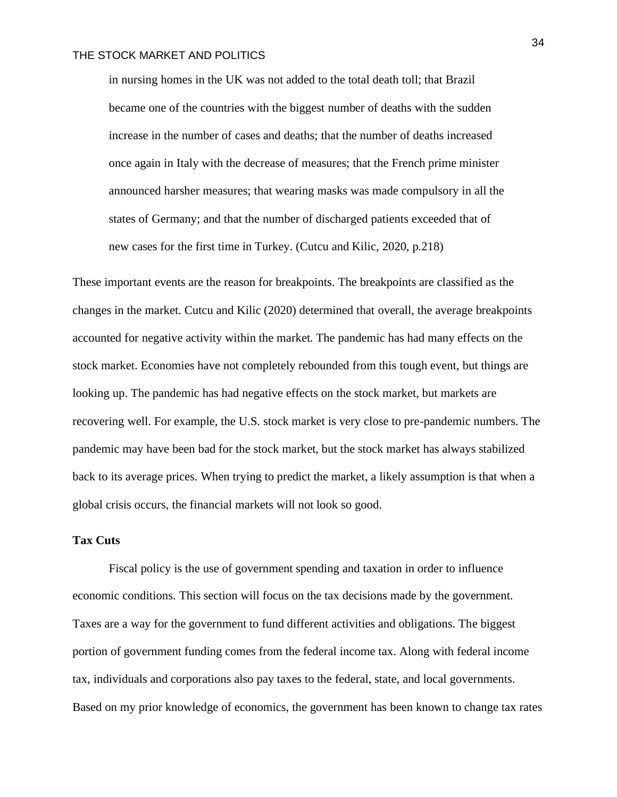in nursing homes in the UK was not added to the total death toll; that Brazil became one of the countries with the biggest number of deaths with the sudden increase in the number of cases and deaths; that the number of deaths increased once again in Italy with the decrease of measures; that the French prime minister announced harsher measures; that wearing masks was made compulsory in all the states of Germany; and that the number of discharged patients exceeded that of new cases for the first time in Turkey. (Cutcu and Kilic, 2020, p.218)

These important events are the reason for breakpoints. The breakpoints are classified as the changes in the market. Cutcu and Kilic (2020) determined that overall, the average breakpoints accounted for negative activity within the market. The pandemic has had many effects on the stock market. Economies have not completely rebounded from this tough event, but things are looking up. The pandemic has had negative effects on the stock market, but markets are recovering well. For example, the U.S. stock market is very close to pre-pandemic numbers. The pandemic may have been bad for the stock market, but the stock market has always stabilized back to its average prices. When trying to predict the market, a likely assumption is that when a global crisis occurs, the financial markets will not look so good.

### **Tax Cuts**

Fiscal policy is the use of government spending and taxation in order to influence economic conditions. This section will focus on the tax decisions made by the government. Taxes are a way for the government to fund different activities and obligations. The biggest portion of government funding comes from the federal income tax. Along with federal income tax, individuals and corporations also pay taxes to the federal, state, and local governments. Based on my prior knowledge of economics, the government has been known to change tax rates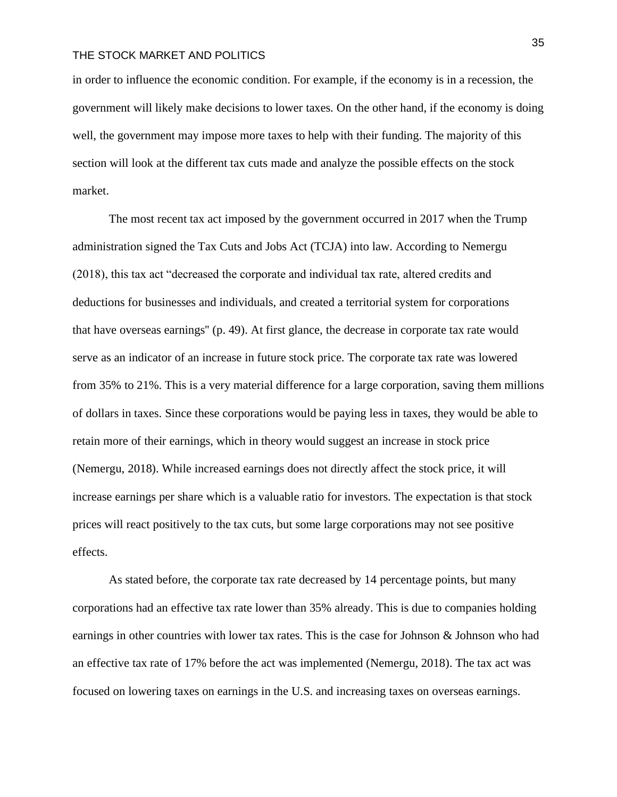in order to influence the economic condition. For example, if the economy is in a recession, the government will likely make decisions to lower taxes. On the other hand, if the economy is doing well, the government may impose more taxes to help with their funding. The majority of this section will look at the different tax cuts made and analyze the possible effects on the stock market.

The most recent tax act imposed by the government occurred in 2017 when the Trump administration signed the Tax Cuts and Jobs Act (TCJA) into law. According to Nemergu (2018), this tax act "decreased the corporate and individual tax rate, altered credits and deductions for businesses and individuals, and created a territorial system for corporations that have overseas earnings'' (p. 49). At first glance, the decrease in corporate tax rate would serve as an indicator of an increase in future stock price. The corporate tax rate was lowered from 35% to 21%. This is a very material difference for a large corporation, saving them millions of dollars in taxes. Since these corporations would be paying less in taxes, they would be able to retain more of their earnings, which in theory would suggest an increase in stock price (Nemergu, 2018). While increased earnings does not directly affect the stock price, it will increase earnings per share which is a valuable ratio for investors. The expectation is that stock prices will react positively to the tax cuts, but some large corporations may not see positive effects.

As stated before, the corporate tax rate decreased by 14 percentage points, but many corporations had an effective tax rate lower than 35% already. This is due to companies holding earnings in other countries with lower tax rates. This is the case for Johnson & Johnson who had an effective tax rate of 17% before the act was implemented (Nemergu, 2018). The tax act was focused on lowering taxes on earnings in the U.S. and increasing taxes on overseas earnings.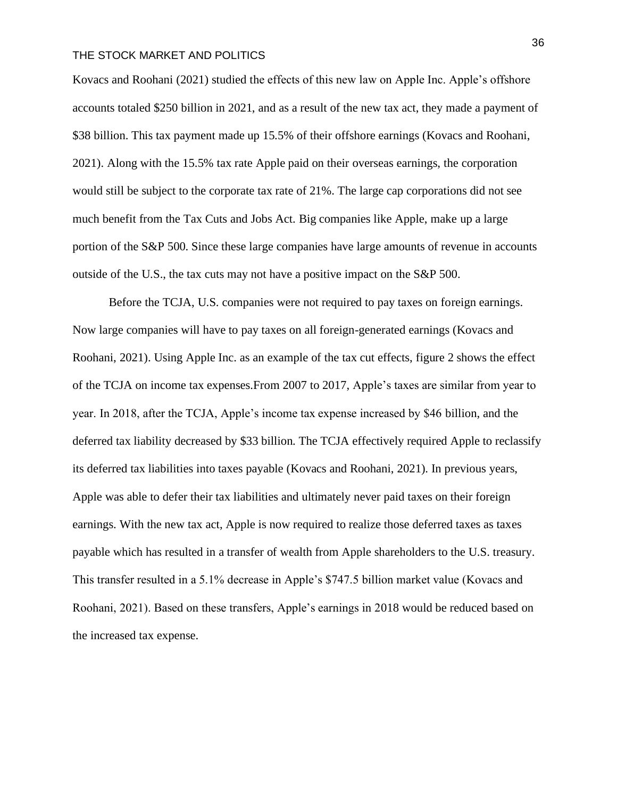Kovacs and Roohani (2021) studied the effects of this new law on Apple Inc. Apple's offshore accounts totaled \$250 billion in 2021, and as a result of the new tax act, they made a payment of \$38 billion. This tax payment made up 15.5% of their offshore earnings (Kovacs and Roohani, 2021). Along with the 15.5% tax rate Apple paid on their overseas earnings, the corporation would still be subject to the corporate tax rate of 21%. The large cap corporations did not see much benefit from the Tax Cuts and Jobs Act. Big companies like Apple, make up a large portion of the S&P 500. Since these large companies have large amounts of revenue in accounts outside of the U.S., the tax cuts may not have a positive impact on the S&P 500.

Before the TCJA, U.S. companies were not required to pay taxes on foreign earnings. Now large companies will have to pay taxes on all foreign-generated earnings (Kovacs and Roohani, 2021). Using Apple Inc. as an example of the tax cut effects, figure 2 shows the effect of the TCJA on income tax expenses.From 2007 to 2017, Apple's taxes are similar from year to year. In 2018, after the TCJA, Apple's income tax expense increased by \$46 billion, and the deferred tax liability decreased by \$33 billion. The TCJA effectively required Apple to reclassify its deferred tax liabilities into taxes payable (Kovacs and Roohani, 2021). In previous years, Apple was able to defer their tax liabilities and ultimately never paid taxes on their foreign earnings. With the new tax act, Apple is now required to realize those deferred taxes as taxes payable which has resulted in a transfer of wealth from Apple shareholders to the U.S. treasury. This transfer resulted in a 5.1% decrease in Apple's \$747.5 billion market value (Kovacs and Roohani, 2021). Based on these transfers, Apple's earnings in 2018 would be reduced based on the increased tax expense.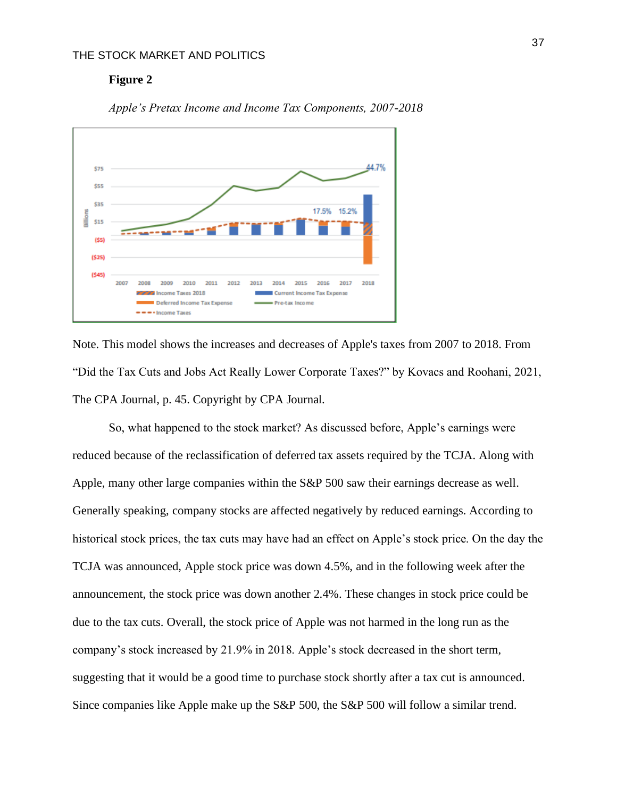#### **Figure 2**



*Apple's Pretax Income and Income Tax Components, 2007-2018*

Note. This model shows the increases and decreases of Apple's taxes from 2007 to 2018. From "Did the Tax Cuts and Jobs Act Really Lower Corporate Taxes?" by Kovacs and Roohani, 2021, The CPA Journal, p. 45. Copyright by CPA Journal.

So, what happened to the stock market? As discussed before, Apple's earnings were reduced because of the reclassification of deferred tax assets required by the TCJA. Along with Apple, many other large companies within the S&P 500 saw their earnings decrease as well. Generally speaking, company stocks are affected negatively by reduced earnings. According to historical stock prices, the tax cuts may have had an effect on Apple's stock price. On the day the TCJA was announced, Apple stock price was down 4.5%, and in the following week after the announcement, the stock price was down another 2.4%. These changes in stock price could be due to the tax cuts. Overall, the stock price of Apple was not harmed in the long run as the company's stock increased by 21.9% in 2018. Apple's stock decreased in the short term, suggesting that it would be a good time to purchase stock shortly after a tax cut is announced. Since companies like Apple make up the S&P 500, the S&P 500 will follow a similar trend.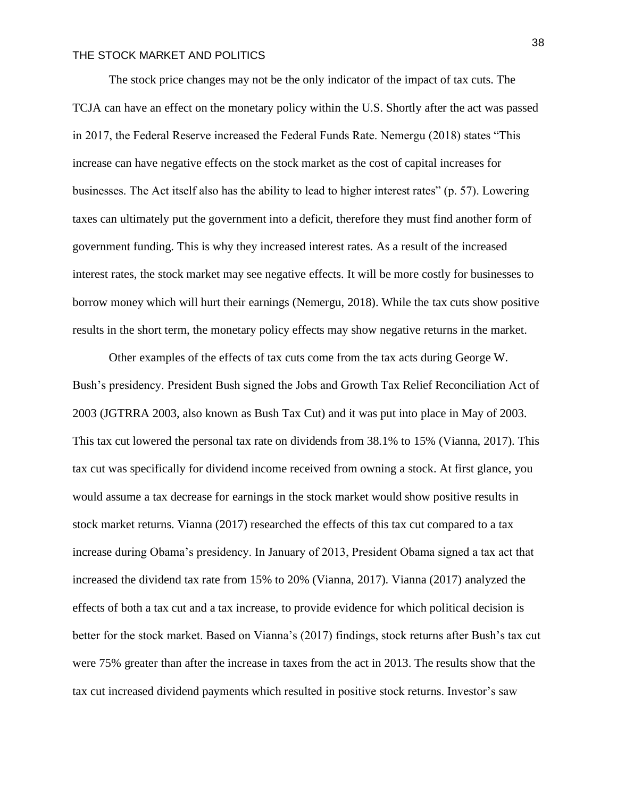The stock price changes may not be the only indicator of the impact of tax cuts. The TCJA can have an effect on the monetary policy within the U.S. Shortly after the act was passed in 2017, the Federal Reserve increased the Federal Funds Rate. Nemergu (2018) states "This increase can have negative effects on the stock market as the cost of capital increases for businesses. The Act itself also has the ability to lead to higher interest rates" (p. 57). Lowering taxes can ultimately put the government into a deficit, therefore they must find another form of government funding. This is why they increased interest rates. As a result of the increased interest rates, the stock market may see negative effects. It will be more costly for businesses to borrow money which will hurt their earnings (Nemergu, 2018). While the tax cuts show positive results in the short term, the monetary policy effects may show negative returns in the market.

Other examples of the effects of tax cuts come from the tax acts during George W. Bush's presidency. President Bush signed the Jobs and Growth Tax Relief Reconciliation Act of 2003 (JGTRRA 2003, also known as Bush Tax Cut) and it was put into place in May of 2003. This tax cut lowered the personal tax rate on dividends from 38.1% to 15% (Vianna, 2017). This tax cut was specifically for dividend income received from owning a stock. At first glance, you would assume a tax decrease for earnings in the stock market would show positive results in stock market returns. Vianna (2017) researched the effects of this tax cut compared to a tax increase during Obama's presidency. In January of 2013, President Obama signed a tax act that increased the dividend tax rate from 15% to 20% (Vianna, 2017). Vianna (2017) analyzed the effects of both a tax cut and a tax increase, to provide evidence for which political decision is better for the stock market. Based on Vianna's (2017) findings, stock returns after Bush's tax cut were 75% greater than after the increase in taxes from the act in 2013. The results show that the tax cut increased dividend payments which resulted in positive stock returns. Investor's saw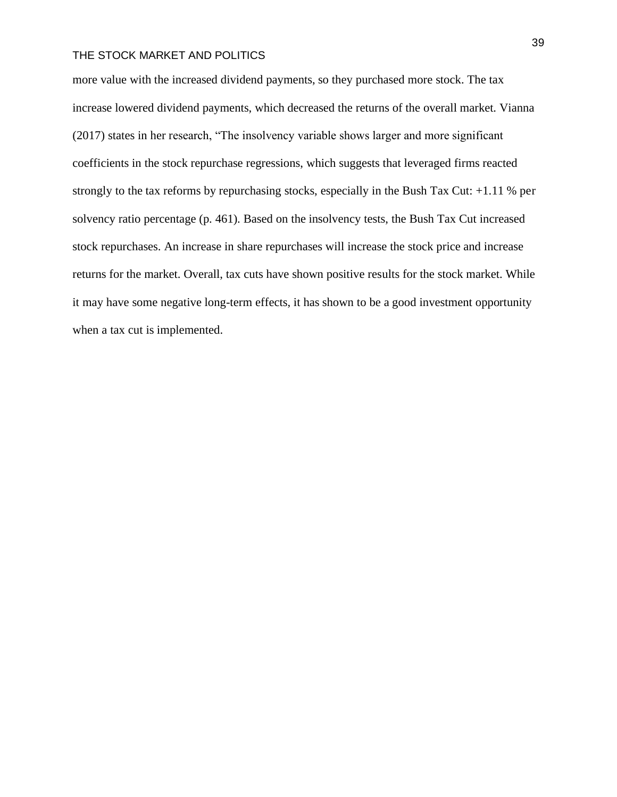more value with the increased dividend payments, so they purchased more stock. The tax increase lowered dividend payments, which decreased the returns of the overall market. Vianna (2017) states in her research, "The insolvency variable shows larger and more significant coefficients in the stock repurchase regressions, which suggests that leveraged firms reacted strongly to the tax reforms by repurchasing stocks, especially in the Bush Tax Cut: +1.11 % per solvency ratio percentage (p. 461). Based on the insolvency tests, the Bush Tax Cut increased stock repurchases. An increase in share repurchases will increase the stock price and increase returns for the market. Overall, tax cuts have shown positive results for the stock market. While it may have some negative long-term effects, it has shown to be a good investment opportunity when a tax cut is implemented.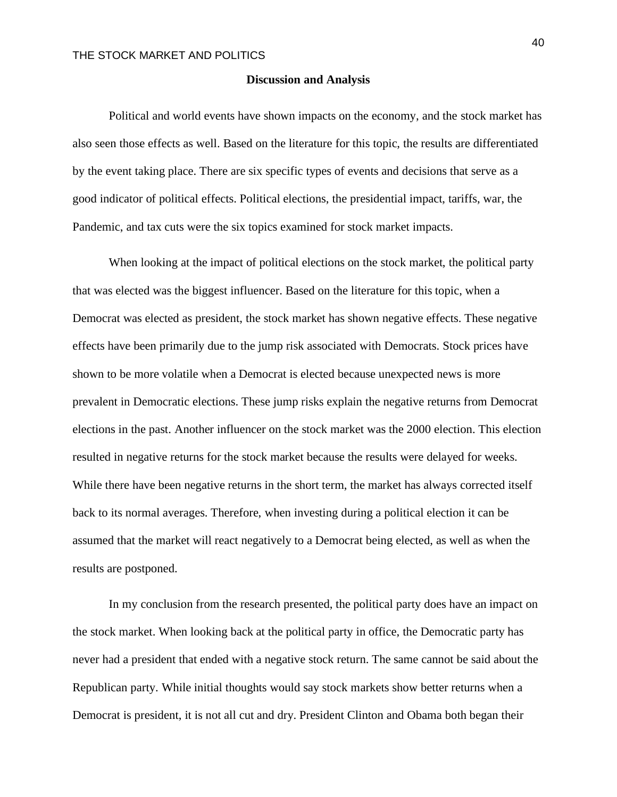#### **Discussion and Analysis**

Political and world events have shown impacts on the economy, and the stock market has also seen those effects as well. Based on the literature for this topic, the results are differentiated by the event taking place. There are six specific types of events and decisions that serve as a good indicator of political effects. Political elections, the presidential impact, tariffs, war, the Pandemic, and tax cuts were the six topics examined for stock market impacts.

When looking at the impact of political elections on the stock market, the political party that was elected was the biggest influencer. Based on the literature for this topic, when a Democrat was elected as president, the stock market has shown negative effects. These negative effects have been primarily due to the jump risk associated with Democrats. Stock prices have shown to be more volatile when a Democrat is elected because unexpected news is more prevalent in Democratic elections. These jump risks explain the negative returns from Democrat elections in the past. Another influencer on the stock market was the 2000 election. This election resulted in negative returns for the stock market because the results were delayed for weeks. While there have been negative returns in the short term, the market has always corrected itself back to its normal averages. Therefore, when investing during a political election it can be assumed that the market will react negatively to a Democrat being elected, as well as when the results are postponed.

In my conclusion from the research presented, the political party does have an impact on the stock market. When looking back at the political party in office, the Democratic party has never had a president that ended with a negative stock return. The same cannot be said about the Republican party. While initial thoughts would say stock markets show better returns when a Democrat is president, it is not all cut and dry. President Clinton and Obama both began their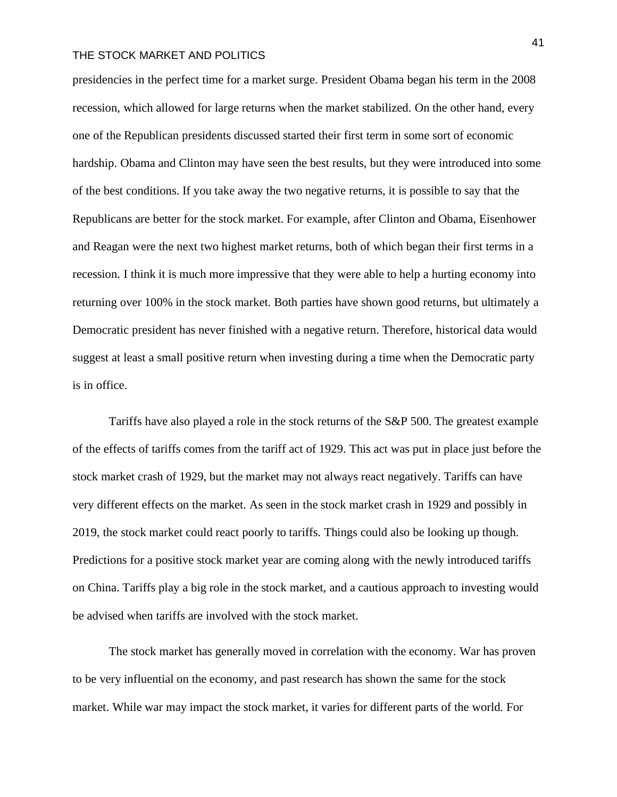presidencies in the perfect time for a market surge. President Obama began his term in the 2008 recession, which allowed for large returns when the market stabilized. On the other hand, every one of the Republican presidents discussed started their first term in some sort of economic hardship. Obama and Clinton may have seen the best results, but they were introduced into some of the best conditions. If you take away the two negative returns, it is possible to say that the Republicans are better for the stock market. For example, after Clinton and Obama, Eisenhower and Reagan were the next two highest market returns, both of which began their first terms in a recession. I think it is much more impressive that they were able to help a hurting economy into returning over 100% in the stock market. Both parties have shown good returns, but ultimately a Democratic president has never finished with a negative return. Therefore, historical data would suggest at least a small positive return when investing during a time when the Democratic party is in office.

Tariffs have also played a role in the stock returns of the S&P 500. The greatest example of the effects of tariffs comes from the tariff act of 1929. This act was put in place just before the stock market crash of 1929, but the market may not always react negatively. Tariffs can have very different effects on the market. As seen in the stock market crash in 1929 and possibly in 2019, the stock market could react poorly to tariffs. Things could also be looking up though. Predictions for a positive stock market year are coming along with the newly introduced tariffs on China. Tariffs play a big role in the stock market, and a cautious approach to investing would be advised when tariffs are involved with the stock market.

The stock market has generally moved in correlation with the economy. War has proven to be very influential on the economy, and past research has shown the same for the stock market. While war may impact the stock market, it varies for different parts of the world. For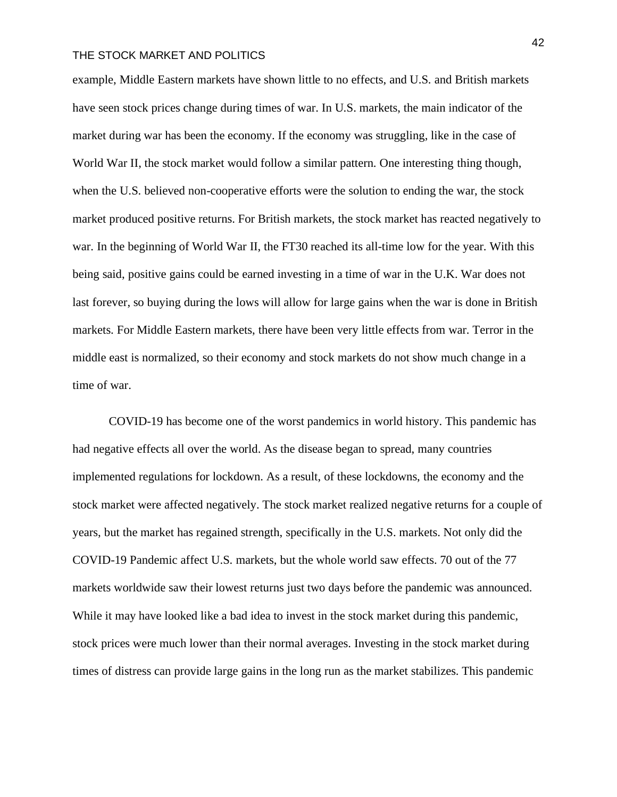example, Middle Eastern markets have shown little to no effects, and U.S. and British markets have seen stock prices change during times of war. In U.S. markets, the main indicator of the market during war has been the economy. If the economy was struggling, like in the case of World War II, the stock market would follow a similar pattern. One interesting thing though, when the U.S. believed non-cooperative efforts were the solution to ending the war, the stock market produced positive returns. For British markets, the stock market has reacted negatively to war. In the beginning of World War II, the FT30 reached its all-time low for the year. With this being said, positive gains could be earned investing in a time of war in the U.K. War does not last forever, so buying during the lows will allow for large gains when the war is done in British markets. For Middle Eastern markets, there have been very little effects from war. Terror in the middle east is normalized, so their economy and stock markets do not show much change in a time of war.

COVID-19 has become one of the worst pandemics in world history. This pandemic has had negative effects all over the world. As the disease began to spread, many countries implemented regulations for lockdown. As a result, of these lockdowns, the economy and the stock market were affected negatively. The stock market realized negative returns for a couple of years, but the market has regained strength, specifically in the U.S. markets. Not only did the COVID-19 Pandemic affect U.S. markets, but the whole world saw effects. 70 out of the 77 markets worldwide saw their lowest returns just two days before the pandemic was announced. While it may have looked like a bad idea to invest in the stock market during this pandemic, stock prices were much lower than their normal averages. Investing in the stock market during times of distress can provide large gains in the long run as the market stabilizes. This pandemic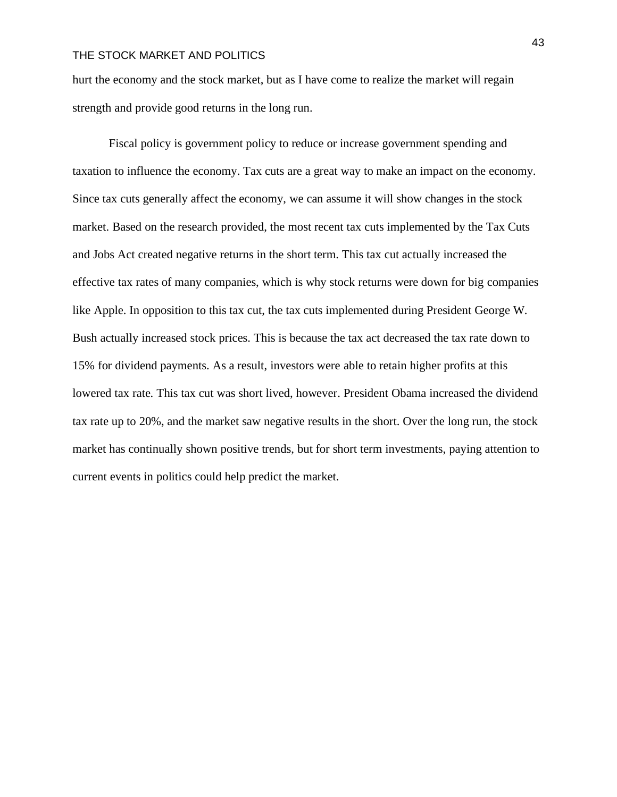hurt the economy and the stock market, but as I have come to realize the market will regain strength and provide good returns in the long run.

Fiscal policy is government policy to reduce or increase government spending and taxation to influence the economy. Tax cuts are a great way to make an impact on the economy. Since tax cuts generally affect the economy, we can assume it will show changes in the stock market. Based on the research provided, the most recent tax cuts implemented by the Tax Cuts and Jobs Act created negative returns in the short term. This tax cut actually increased the effective tax rates of many companies, which is why stock returns were down for big companies like Apple. In opposition to this tax cut, the tax cuts implemented during President George W. Bush actually increased stock prices. This is because the tax act decreased the tax rate down to 15% for dividend payments. As a result, investors were able to retain higher profits at this lowered tax rate. This tax cut was short lived, however. President Obama increased the dividend tax rate up to 20%, and the market saw negative results in the short. Over the long run, the stock market has continually shown positive trends, but for short term investments, paying attention to current events in politics could help predict the market.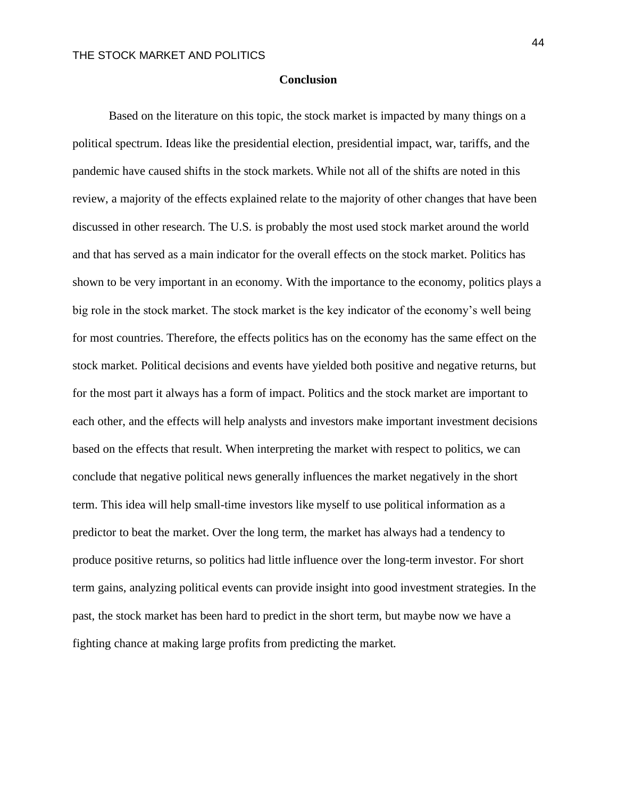#### **Conclusion**

Based on the literature on this topic, the stock market is impacted by many things on a political spectrum. Ideas like the presidential election, presidential impact, war, tariffs, and the pandemic have caused shifts in the stock markets. While not all of the shifts are noted in this review, a majority of the effects explained relate to the majority of other changes that have been discussed in other research. The U.S. is probably the most used stock market around the world and that has served as a main indicator for the overall effects on the stock market. Politics has shown to be very important in an economy. With the importance to the economy, politics plays a big role in the stock market. The stock market is the key indicator of the economy's well being for most countries. Therefore, the effects politics has on the economy has the same effect on the stock market. Political decisions and events have yielded both positive and negative returns, but for the most part it always has a form of impact. Politics and the stock market are important to each other, and the effects will help analysts and investors make important investment decisions based on the effects that result. When interpreting the market with respect to politics, we can conclude that negative political news generally influences the market negatively in the short term. This idea will help small-time investors like myself to use political information as a predictor to beat the market. Over the long term, the market has always had a tendency to produce positive returns, so politics had little influence over the long-term investor. For short term gains, analyzing political events can provide insight into good investment strategies. In the past, the stock market has been hard to predict in the short term, but maybe now we have a fighting chance at making large profits from predicting the market.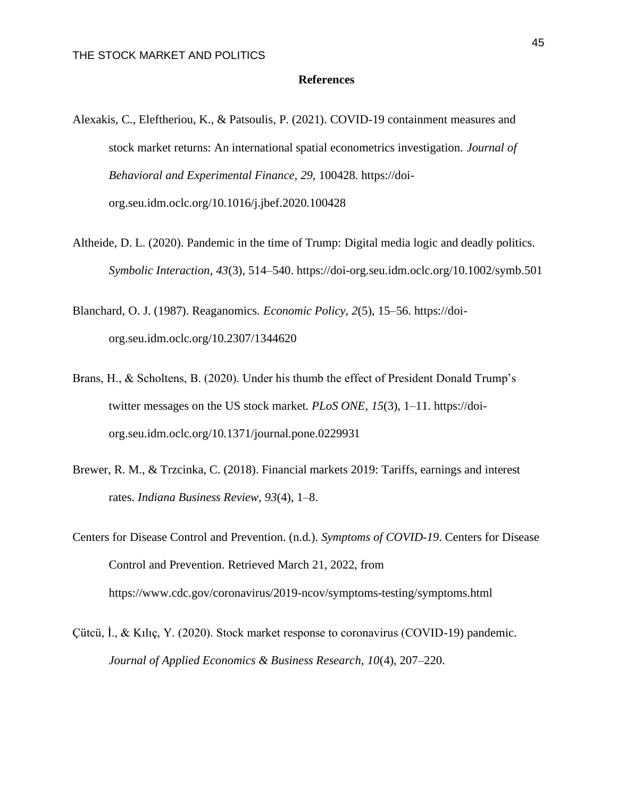#### **References**

- Alexakis, C., Eleftheriou, K., & Patsoulis, P. (2021). COVID-19 containment measures and stock market returns: An international spatial econometrics investigation. *Journal of Behavioral and Experimental Finance, 29*, 100428. https://doiorg.seu.idm.oclc.org/10.1016/j.jbef.2020.100428
- Altheide, D. L. (2020). Pandemic in the time of Trump: Digital media logic and deadly politics. *Symbolic Interaction, 43*(3), 514–540. https://doi-org.seu.idm.oclc.org/10.1002/symb.501
- Blanchard, O. J. (1987). Reaganomics. *Economic Policy, 2*(5), 15–56. https://doiorg.seu.idm.oclc.org/10.2307/1344620
- Brans, H., & Scholtens, B. (2020). Under his thumb the effect of President Donald Trump's twitter messages on the US stock market. *PLoS ONE, 15*(3), 1–11. https://doiorg.seu.idm.oclc.org/10.1371/journal.pone.0229931
- Brewer, R. M., & Trzcinka, C. (2018). Financial markets 2019: Tariffs, earnings and interest rates. *Indiana Business Review, 93*(4), 1–8.
- Centers for Disease Control and Prevention. (n.d.). *Symptoms of COVID-19*. Centers for Disease Control and Prevention. Retrieved March 21, 2022, from https://www.cdc.gov/coronavirus/2019-ncov/symptoms-testing/symptoms.html
- Çütcü, İ., & Kılıç, Y. (2020). Stock market response to coronavirus (COVID-19) pandemic. *Journal of Applied Economics & Business Research, 10*(4), 207–220.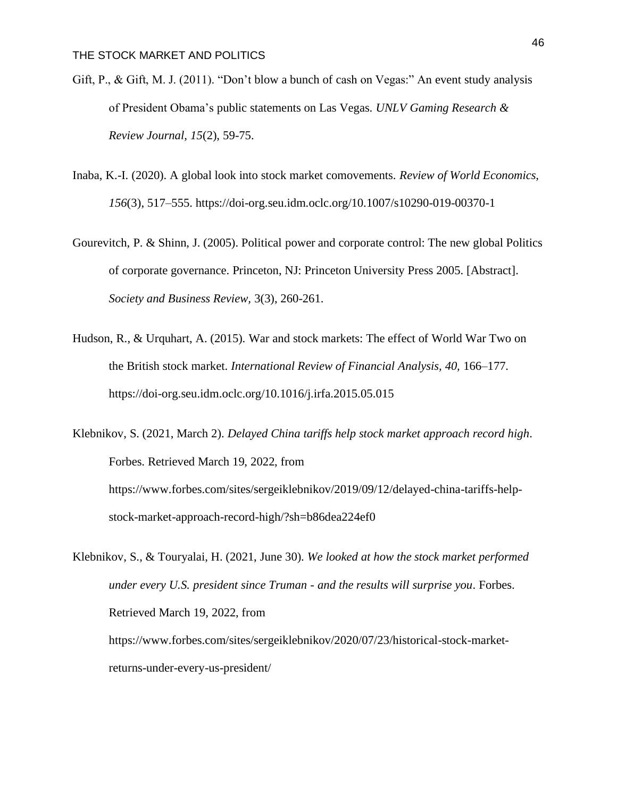- Gift, P., & Gift, M. J. (2011). "Don't blow a bunch of cash on Vegas:" An event study analysis of President Obama's public statements on Las Vegas. *UNLV Gaming Research & Review Journal, 15*(2), 59-75.
- Inaba, K.-I. (2020). A global look into stock market comovements. *Review of World Economics, 156*(3), 517–555. https://doi-org.seu.idm.oclc.org/10.1007/s10290-019-00370-1
- Gourevitch, P. & Shinn, J. (2005). Political power and corporate control: The new global Politics of corporate governance. Princeton, NJ: Princeton University Press 2005. [Abstract]. *Society and Business Review,* 3(3), 260-261.
- Hudson, R., & Urquhart, A. (2015). War and stock markets: The effect of World War Two on the British stock market. *International Review of Financial Analysis, 40,* 166–177. https://doi-org.seu.idm.oclc.org/10.1016/j.irfa.2015.05.015
- Klebnikov, S. (2021, March 2). *Delayed China tariffs help stock market approach record high*. Forbes. Retrieved March 19, 2022, from https://www.forbes.com/sites/sergeiklebnikov/2019/09/12/delayed-china-tariffs-helpstock-market-approach-record-high/?sh=b86dea224ef0

Klebnikov, S., & Touryalai, H. (2021, June 30). *We looked at how the stock market performed under every U.S. president since Truman - and the results will surprise you*. Forbes. Retrieved March 19, 2022, from https://www.forbes.com/sites/sergeiklebnikov/2020/07/23/historical-stock-marketreturns-under-every-us-president/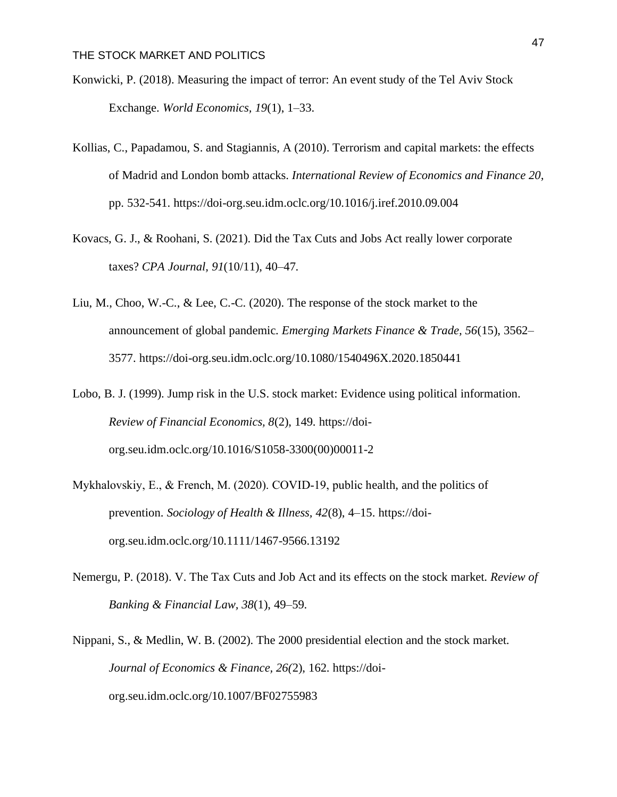- Konwicki, P. (2018). Measuring the impact of terror: An event study of the Tel Aviv Stock Exchange. *World Economics, 19*(1), 1–33.
- Kollias, C., Papadamou, S. and Stagiannis, A (2010). Terrorism and capital markets: the effects of Madrid and London bomb attacks. *International Review of Economics and Finance 20,*  pp. 532-541. https://doi-org.seu.idm.oclc.org/10.1016/j.iref.2010.09.004
- Kovacs, G. J., & Roohani, S. (2021). Did the Tax Cuts and Jobs Act really lower corporate taxes? *CPA Journal, 91*(10/11), 40–47.
- Liu, M., Choo, W.-C., & Lee, C.-C. (2020). The response of the stock market to the announcement of global pandemic. *Emerging Markets Finance & Trade, 56*(15), 3562– 3577. https://doi-org.seu.idm.oclc.org/10.1080/1540496X.2020.1850441
- Lobo, B. J. (1999). Jump risk in the U.S. stock market: Evidence using political information. *Review of Financial Economics, 8*(2), 149. https://doiorg.seu.idm.oclc.org/10.1016/S1058-3300(00)00011-2
- Mykhalovskiy, E., & French, M. (2020). COVID‐19, public health, and the politics of prevention. *Sociology of Health & Illness, 42*(8), 4–15. https://doiorg.seu.idm.oclc.org/10.1111/1467-9566.13192
- Nemergu, P. (2018). V. The Tax Cuts and Job Act and its effects on the stock market. *Review of Banking & Financial Law, 38*(1), 49–59.
- Nippani, S., & Medlin, W. B. (2002). The 2000 presidential election and the stock market. *Journal of Economics & Finance, 26(*2), 162. https://doiorg.seu.idm.oclc.org/10.1007/BF02755983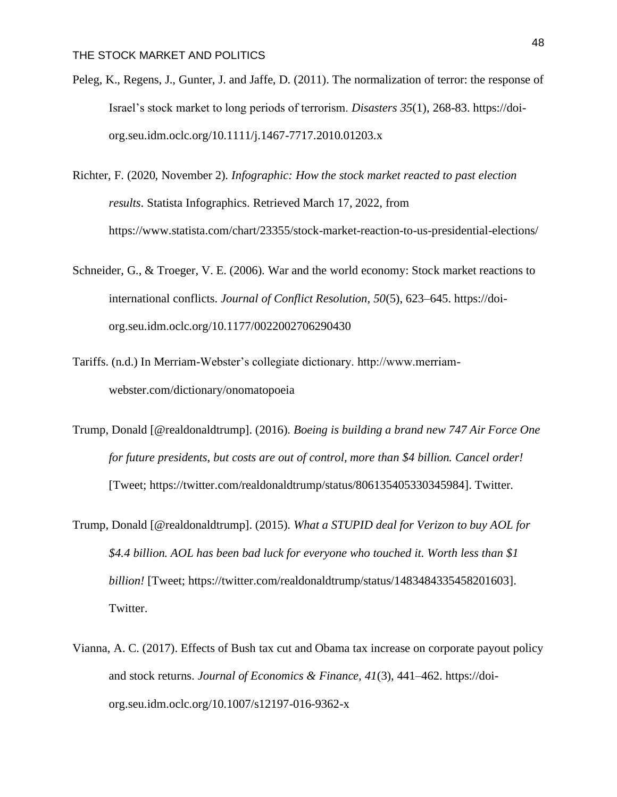- Peleg, K., Regens, J., Gunter, J. and Jaffe, D. (2011). The normalization of terror: the response of Israel's stock market to long periods of terrorism. *Disasters 35*(1), 268-83. https://doiorg.seu.idm.oclc.org/10.1111/j.1467-7717.2010.01203.x
- Richter, F. (2020, November 2). *Infographic: How the stock market reacted to past election results*. Statista Infographics. Retrieved March 17, 2022, from https://www.statista.com/chart/23355/stock-market-reaction-to-us-presidential-elections/
- Schneider, G., & Troeger, V. E. (2006). War and the world economy: Stock market reactions to international conflicts. *Journal of Conflict Resolution, 50*(5), 623–645. https://doiorg.seu.idm.oclc.org/10.1177/0022002706290430
- Tariffs. (n.d.) In Merriam-Webster's collegiate dictionary. http://www.merriamwebster.com/dictionary/onomatopoeia
- Trump, Donald [@realdonaldtrump]. (2016). *Boeing is building a brand new 747 Air Force One for future presidents, but costs are out of control, more than \$4 billion. Cancel order!* [Tweet; https://twitter.com/realdonaldtrump/status/806135405330345984]. Twitter.
- Trump, Donald [@realdonaldtrump]. (2015). *What a STUPID deal for Verizon to buy AOL for \$4.4 billion. AOL has been bad luck for everyone who touched it. Worth less than \$1 billion!* [Tweet; https://twitter.com/realdonaldtrump/status/1483484335458201603]. Twitter.
- Vianna, A. C. (2017). Effects of Bush tax cut and Obama tax increase on corporate payout policy and stock returns. *Journal of Economics & Finance, 41*(3), 441–462. https://doiorg.seu.idm.oclc.org/10.1007/s12197-016-9362-x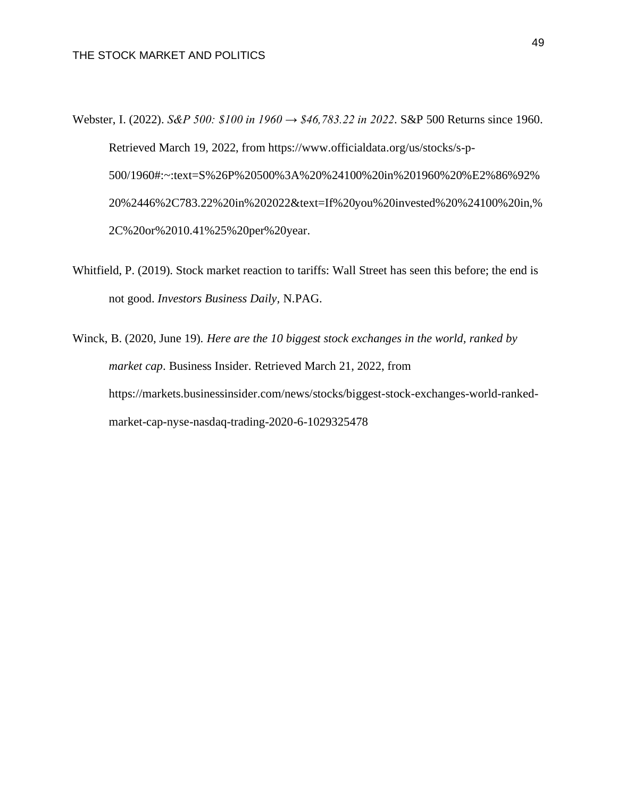Webster, I. (2022). *S&P 500: \$100 in 1960 → \$46,783.22 in 2022*. S&P 500 Returns since 1960. Retrieved March 19, 2022, from https://www.officialdata.org/us/stocks/s-p-500/1960#:~:text=S%26P%20500%3A%20%24100%20in%201960%20%E2%86%92% 20%2446%2C783.22%20in%202022&text=If%20you%20invested%20%24100%20in,% 2C%20or%2010.41%25%20per%20year.

Whitfield, P. (2019). Stock market reaction to tariffs: Wall Street has seen this before; the end is not good. *Investors Business Daily,* N.PAG.

Winck, B. (2020, June 19). *Here are the 10 biggest stock exchanges in the world, ranked by market cap*. Business Insider. Retrieved March 21, 2022, from https://markets.businessinsider.com/news/stocks/biggest-stock-exchanges-world-rankedmarket-cap-nyse-nasdaq-trading-2020-6-1029325478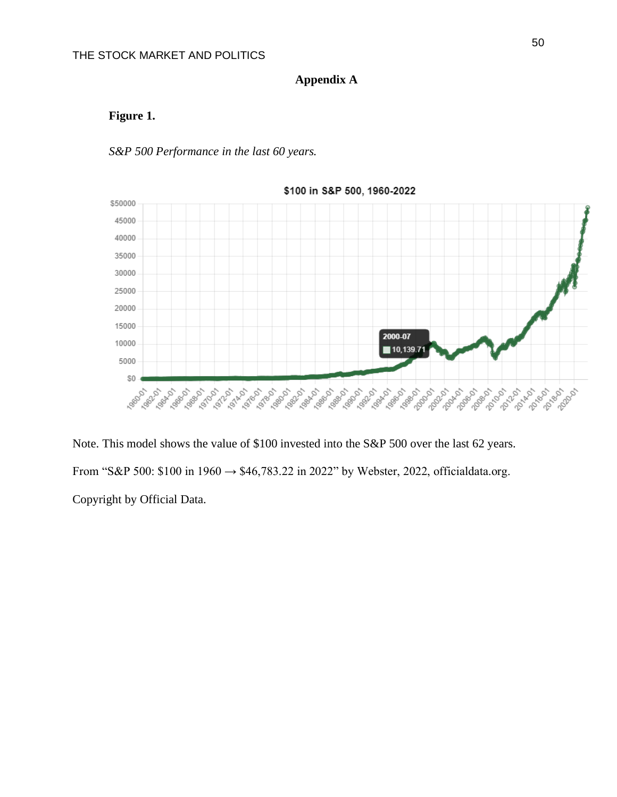# **Appendix A**

# **Figure 1.**

## *S&P 500 Performance in the last 60 years.*



Note. This model shows the value of \$100 invested into the S&P 500 over the last 62 years. From "S&P 500: \$100 in 1960 → \$46,783.22 in 2022" by Webster, 2022, officialdata.org. Copyright by Official Data.